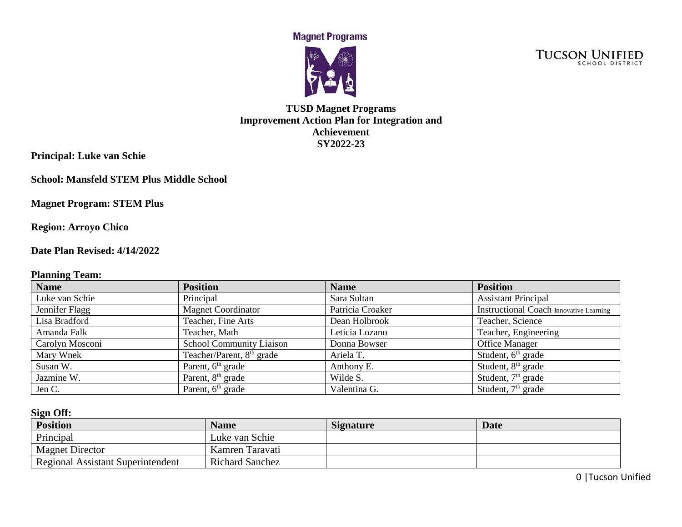**Magnet Programs** 



**TUCSON UNIFIED** 

## **TUSD Magnet Programs Improvement Action Plan for Integration and Achievement SY2022-23**

**Principal: Luke van Schie**

**School: Mansfeld STEM Plus Middle School**

**Magnet Program: STEM Plus**

**Region: Arroyo Chico**

**Date Plan Revised: 4/14/2022**

### **Planning Team:**

| <b>Name</b>     | <b>Position</b>                       | <b>Name</b>      | <b>Position</b>                                |
|-----------------|---------------------------------------|------------------|------------------------------------------------|
| Luke van Schie  | Principal                             | Sara Sultan      | <b>Assistant Principal</b>                     |
| Jennifer Flagg  | <b>Magnet Coordinator</b>             | Patricia Croaker | <b>Instructional Coach-Innovative Learning</b> |
| Lisa Bradford   | Teacher, Fine Arts                    | Dean Holbrook    | Teacher, Science                               |
| Amanda Falk     | Teacher, Math                         | Leticia Lozano   | Teacher, Engineering                           |
| Carolyn Mosconi | <b>School Community Liaison</b>       | Donna Bowser     | <b>Office Manager</b>                          |
| Mary Wnek       | Teacher/Parent, 8 <sup>th</sup> grade | Ariela T.        | Student, $6th$ grade                           |
| Susan W.        | Parent, 6 <sup>th</sup> grade         | Anthony E.       | Student, $8th$ grade                           |
| Jazmine W.      | Parent, 8 <sup>th</sup> grade         | Wilde S.         | Student, $7th$ grade                           |
| Jen C.          | Parent, 6 <sup>th</sup> grade         | Valentina G.     | Student, $7th$ grade                           |

### **Sign Off:**

| <b>Position</b>                          | <b>Name</b>            | <b>Signature</b> | <b>Date</b> |
|------------------------------------------|------------------------|------------------|-------------|
| Principal                                | Luke van Schie         |                  |             |
| <b>Magnet Director</b>                   | Kamren Taravati        |                  |             |
| <b>Regional Assistant Superintendent</b> | <b>Richard Sanchez</b> |                  |             |

0 |Tucson Unified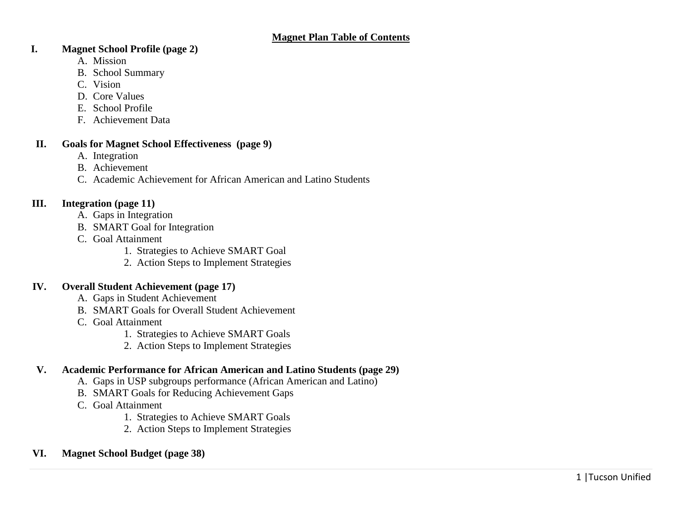### **I. Magnet School Profile (page 2)**

- A. Mission
- B. School Summary
- C. Vision
- D. Core Values
- E. School Profile
- F. Achievement Data

### **II. Goals for Magnet School Effectiveness (page 9)**

- A. Integration
- B. Achievement
- C. Academic Achievement for African American and Latino Students

### **III. Integration (page 11)**

- A. Gaps in Integration
- B. SMART Goal for Integration
- C. Goal Attainment
	- 1. Strategies to Achieve SMART Goal
	- 2. Action Steps to Implement Strategies

### **IV. Overall Student Achievement (page 17)**

- A. Gaps in Student Achievement
- B. SMART Goals for Overall Student Achievement
- C. Goal Attainment
	- 1. Strategies to Achieve SMART Goals
	- 2. Action Steps to Implement Strategies

## **V. Academic Performance for African American and Latino Students (page 29)**

- A. Gaps in USP subgroups performance (African American and Latino)
- B. SMART Goals for Reducing Achievement Gaps
- C. Goal Attainment
	- 1. Strategies to Achieve SMART Goals
	- 2. Action Steps to Implement Strategies
- **VI. Magnet School Budget (page 38)**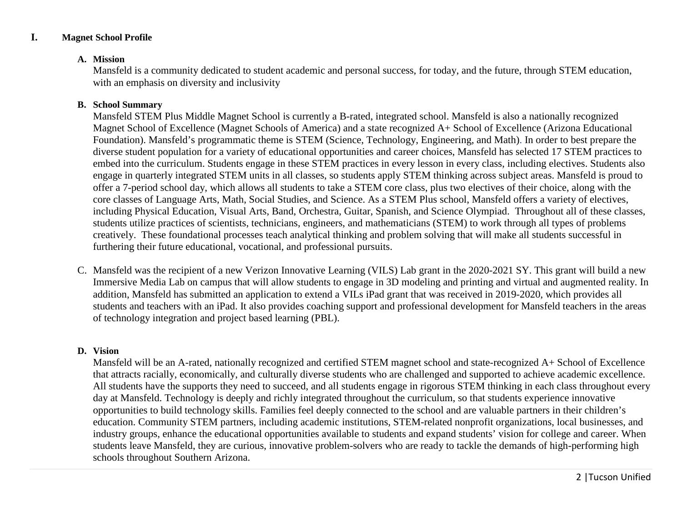### **I. Magnet School Profile**

#### **A. Mission**

Mansfeld is a community dedicated to student academic and personal success, for today, and the future, through STEM education, with an emphasis on diversity and inclusivity

#### **B. School Summary**

Mansfeld STEM Plus Middle Magnet School is currently a B-rated, integrated school. Mansfeld is also a nationally recognized Magnet School of Excellence (Magnet Schools of America) and a state recognized A+ School of Excellence (Arizona Educational Foundation). Mansfeld's programmatic theme is STEM (Science, Technology, Engineering, and Math). In order to best prepare the diverse student population for a variety of educational opportunities and career choices, Mansfeld has selected 17 STEM practices to embed into the curriculum. Students engage in these STEM practices in every lesson in every class, including electives. Students also engage in quarterly integrated STEM units in all classes, so students apply STEM thinking across subject areas. Mansfeld is proud to offer a 7-period school day, which allows all students to take a STEM core class, plus two electives of their choice, along with the core classes of Language Arts, Math, Social Studies, and Science. As a STEM Plus school, Mansfeld offers a variety of electives, including Physical Education, Visual Arts, Band, Orchestra, Guitar, Spanish, and Science Olympiad. Throughout all of these classes, students utilize practices of scientists, technicians, engineers, and mathematicians (STEM) to work through all types of problems creatively. These foundational processes teach analytical thinking and problem solving that will make all students successful in furthering their future educational, vocational, and professional pursuits.

C. Mansfeld was the recipient of a new Verizon Innovative Learning (VILS) Lab grant in the 2020-2021 SY. This grant will build a new Immersive Media Lab on campus that will allow students to engage in 3D modeling and printing and virtual and augmented reality. In addition, Mansfeld has submitted an application to extend a VILs iPad grant that was received in 2019-2020, which provides all students and teachers with an iPad. It also provides coaching support and professional development for Mansfeld teachers in the areas of technology integration and project based learning (PBL).

#### **D. Vision**

Mansfeld will be an A-rated, nationally recognized and certified STEM magnet school and state-recognized A+ School of Excellence that attracts racially, economically, and culturally diverse students who are challenged and supported to achieve academic excellence. All students have the supports they need to succeed, and all students engage in rigorous STEM thinking in each class throughout every day at Mansfeld. Technology is deeply and richly integrated throughout the curriculum, so that students experience innovative opportunities to build technology skills. Families feel deeply connected to the school and are valuable partners in their children's education. Community STEM partners, including academic institutions, STEM-related nonprofit organizations, local businesses, and industry groups, enhance the educational opportunities available to students and expand students' vision for college and career. When students leave Mansfeld, they are curious, innovative problem-solvers who are ready to tackle the demands of high-performing high schools throughout Southern Arizona.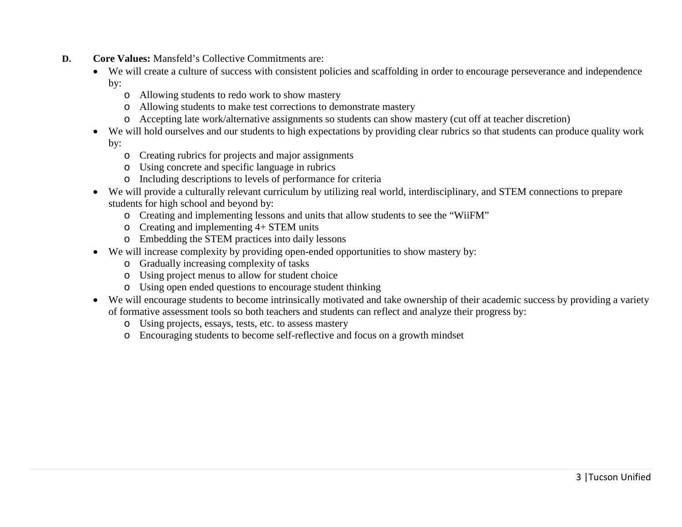- **D. Core Values:** Mansfeld's Collective Commitments are:
	- We will create a culture of success with consistent policies and scaffolding in order to encourage perseverance and independence by:
		- o Allowing students to redo work to show mastery
		- o Allowing students to make test corrections to demonstrate mastery
		- o Accepting late work/alternative assignments so students can show mastery (cut off at teacher discretion)
	- We will hold ourselves and our students to high expectations by providing clear rubrics so that students can produce quality work by:
		- o Creating rubrics for projects and major assignments
		- o Using concrete and specific language in rubrics
		- o Including descriptions to levels of performance for criteria
	- We will provide a culturally relevant curriculum by utilizing real world, interdisciplinary, and STEM connections to prepare students for high school and beyond by:
		- o Creating and implementing lessons and units that allow students to see the "WiiFM"
		- o Creating and implementing 4+ STEM units
		- o Embedding the STEM practices into daily lessons
	- We will increase complexity by providing open-ended opportunities to show mastery by:
		- o Gradually increasing complexity of tasks
		- o Using project menus to allow for student choice
		- o Using open ended questions to encourage student thinking
	- We will encourage students to become intrinsically motivated and take ownership of their academic success by providing a variety of formative assessment tools so both teachers and students can reflect and analyze their progress by:
		- o Using projects, essays, tests, etc. to assess mastery
		- o Encouraging students to become self-reflective and focus on a growth mindset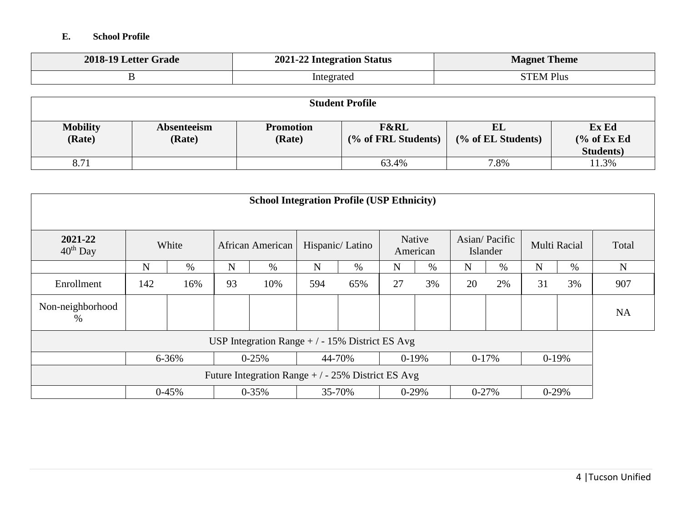## **E. School Profile**

| 2018-19 Letter Grade | 2021-22 Integration Status | <b>Magnet Theme</b>         |
|----------------------|----------------------------|-----------------------------|
|                      | Integrated                 | <sup>1</sup> Plus<br>`TEM . |

| <b>Student Profile</b>    |                       |                            |                                        |                          |                                         |  |  |
|---------------------------|-----------------------|----------------------------|----------------------------------------|--------------------------|-----------------------------------------|--|--|
| <b>Mobility</b><br>(Rate) | Absenteeism<br>(Rate) | <b>Promotion</b><br>(Rate) | <b>F&amp;RL</b><br>(% of FRL Students) | EL<br>(% of EL Students) | Ex Ed<br>% of ExEd<br><b>Students</b> ) |  |  |
| 8.71                      |                       |                            | 63.4%                                  | 7.8%                     | 11.3%                                   |  |  |

| <b>School Integration Profile (USP Ethnicity)</b>  |     |         |             |                  |             |                 |             |                    |             |                           |         |              |             |
|----------------------------------------------------|-----|---------|-------------|------------------|-------------|-----------------|-------------|--------------------|-------------|---------------------------|---------|--------------|-------------|
| 2021-22<br>$40th$ Day                              |     | White   |             | African American |             | Hispanic/Latino |             | Native<br>American |             | Asian/Pacific<br>Islander |         | Multi Racial | Total       |
|                                                    | N   | $\%$    | $\mathbf N$ | $\%$             | $\mathbf N$ | $\%$            | $\mathbf N$ | $\%$               | $\mathbf N$ | $\%$                      | N       | $\%$         | $\mathbf N$ |
| Enrollment                                         | 142 | 16%     | 93          | 10%              | 594         | 65%             | 27          | 3%                 | 20          | 2%                        | 31      | 3%           | 907         |
| Non-neighborhood<br>%                              |     |         |             |                  |             |                 |             |                    |             |                           |         |              | NA          |
| USP Integration Range $+/-15\%$ District ES Avg    |     |         |             |                  |             |                 |             |                    |             |                           |         |              |             |
|                                                    |     | 6-36%   |             | $0 - 25%$        |             | 44-70%          |             | $0-19%$            | $0-17%$     |                           |         | $0-19%$      |             |
| Future Integration Range $+/-25\%$ District ES Avg |     |         |             |                  |             |                 |             |                    |             |                           |         |              |             |
|                                                    |     | $0-45%$ |             | $0 - 35\%$       |             | 35-70%          |             | $0-29%$            | $0 - 27%$   |                           | $0-29%$ |              |             |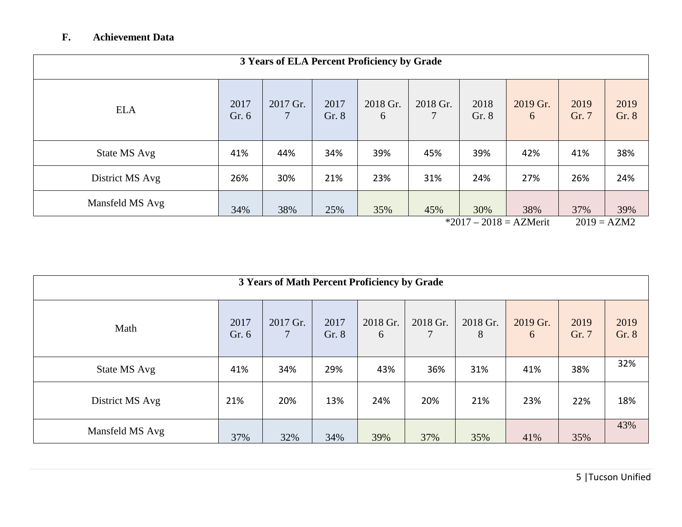## **F. Achievement Data**

|                 | 3 Years of ELA Percent Proficiency by Grade |          |               |               |          |               |                                 |               |                      |
|-----------------|---------------------------------------------|----------|---------------|---------------|----------|---------------|---------------------------------|---------------|----------------------|
| <b>ELA</b>      | 2017<br>Gr. 6                               | 2017 Gr. | 2017<br>Gr. 8 | 2018 Gr.<br>6 | 2018 Gr. | 2018<br>Gr. 8 | 2019 Gr.<br>6                   | 2019<br>Gr. 7 | 2019<br>Gr. 8        |
| State MS Avg    | 41%                                         | 44%      | 34%           | 39%           | 45%      | 39%           | 42%                             | 41%           | 38%                  |
| District MS Avg | 26%                                         | 30%      | 21%           | 23%           | 31%      | 24%           | 27%                             | 26%           | 24%                  |
| Mansfeld MS Avg | 34%                                         | 38%      | 25%           | 35%           | 45%      | 30%           | 38%<br>$*2017 - 2018 = AZMerit$ | 37%           | 39%<br>$2019 = AZM2$ |

|                 | 3 Years of Math Percent Proficiency by Grade |          |               |               |               |               |               |               |               |
|-----------------|----------------------------------------------|----------|---------------|---------------|---------------|---------------|---------------|---------------|---------------|
| Math            | 2017<br>Gr. 6                                | 2017 Gr. | 2017<br>Gr. 8 | 2018 Gr.<br>6 | 2018 Gr.<br>7 | 2018 Gr.<br>8 | 2019 Gr.<br>6 | 2019<br>Gr. 7 | 2019<br>Gr. 8 |
| State MS Avg    | 41%                                          | 34%      | 29%           | 43%           | 36%           | 31%           | 41%           | 38%           | 32%           |
| District MS Avg | 21%                                          | 20%      | 13%           | 24%           | 20%           | 21%           | 23%           | 22%           | 18%           |
| Mansfeld MS Avg | 37%                                          | 32%      | 34%           | 39%           | 37%           | 35%           | 41%           | 35%           | 43%           |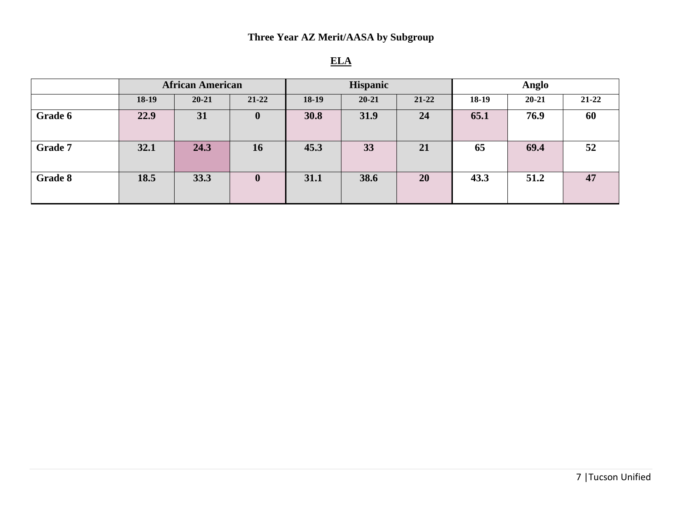|                | <b>African American</b> |           | <b>Hispanic</b>  |         |           | Anglo     |         |           |           |
|----------------|-------------------------|-----------|------------------|---------|-----------|-----------|---------|-----------|-----------|
|                | $18-19$                 | $20 - 21$ | $21 - 22$        | $18-19$ | $20 - 21$ | $21 - 22$ | $18-19$ | $20 - 21$ | $21 - 22$ |
| Grade 6        | 22.9                    | 31        | $\boldsymbol{0}$ | 30.8    | 31.9      | 24        | 65.1    | 76.9      | 60        |
| <b>Grade 7</b> | 32.1                    | 24.3      | 16               | 45.3    | 33        | 21        | 65      | 69.4      | 52        |
| Grade 8        | 18.5                    | 33.3      | $\boldsymbol{0}$ | 31.1    | 38.6      | 20        | 43.3    | 51.2      | 47        |

# **ELA**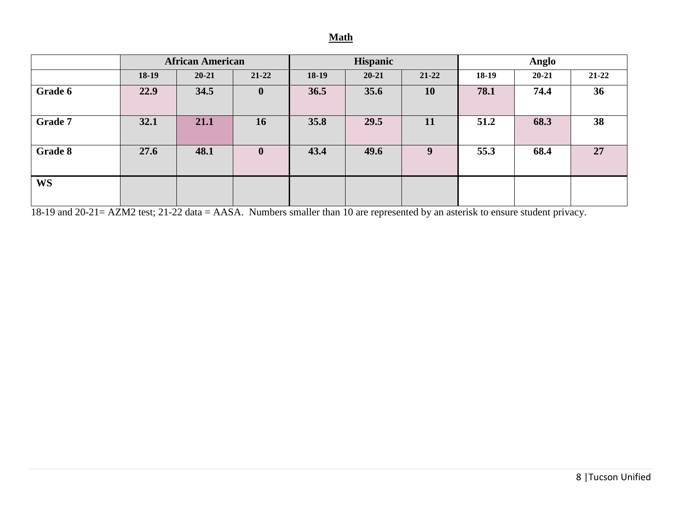### **Math**

|                | <b>African American</b> |           |              | <b>Hispanic</b> |           |           | Anglo   |           |           |
|----------------|-------------------------|-----------|--------------|-----------------|-----------|-----------|---------|-----------|-----------|
|                | $18-19$                 | $20 - 21$ | 21-22        | $18-19$         | $20 - 21$ | $21 - 22$ | $18-19$ | $20 - 21$ | $21 - 22$ |
| Grade 6        | 22.9                    | 34.5      | $\mathbf{0}$ | 36.5            | 35.6      | 10        | 78.1    | 74.4      | 36        |
| <b>Grade 7</b> | 32.1                    | 21.1      | 16           | 35.8            | 29.5      | <b>11</b> | 51.2    | 68.3      | 38        |
| Grade 8        | 27.6                    | 48.1      | $\mathbf{0}$ | 43.4            | 49.6      | 9         | 55.3    | 68.4      | 27        |
| <b>WS</b>      |                         |           |              |                 |           |           |         |           |           |

18-19 and 20-21= AZM2 test; 21-22 data = AASA. Numbers smaller than 10 are represented by an asterisk to ensure student privacy.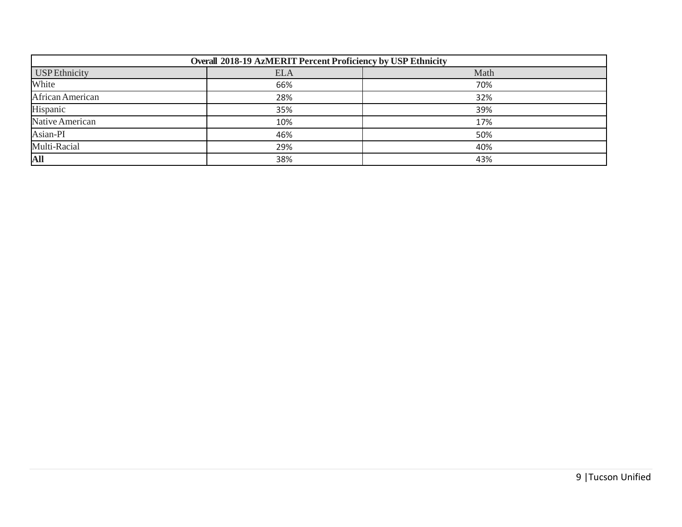| Overall 2018-19 AzMERIT Percent Proficiency by USP Ethnicity |            |      |  |  |  |  |
|--------------------------------------------------------------|------------|------|--|--|--|--|
| <b>USP</b> Ethnicity                                         | <b>ELA</b> | Math |  |  |  |  |
| White                                                        | 66%        | 70%  |  |  |  |  |
| African American                                             | 28%        | 32%  |  |  |  |  |
| Hispanic                                                     | 35%        | 39%  |  |  |  |  |
| Native American                                              | 10%        | 17%  |  |  |  |  |
| Asian-PI                                                     | 46%        | 50%  |  |  |  |  |
| Multi-Racial                                                 | 29%        | 40%  |  |  |  |  |
| All                                                          | 38%        | 43%  |  |  |  |  |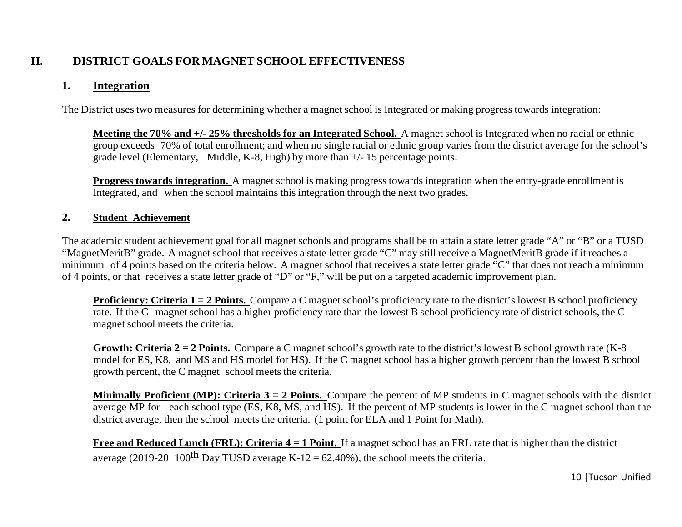## **II. DISTRICT GOALS FOR MAGNET SCHOOL EFFECTIVENESS**

## **1. Integration**

The District uses two measures for determining whether a magnet school is Integrated or making progress towards integration:

**Meeting the 70% and +/- 25% thresholds for an Integrated School.** A magnet school is Integrated when no racial or ethnic group exceeds 70% of total enrollment; and when no single racial or ethnic group varies from the district average for the school's grade level (Elementary, Middle, K-8, High) by more than +/- 15 percentage points.

**Progress towards integration.** A magnet school is making progress towards integration when the entry-grade enrollment is Integrated, and when the school maintains this integration through the next two grades.

### **2. Student Achievement**

The academic student achievement goal for all magnet schools and programs shall be to attain a state letter grade "A" or "B" or a TUSD "MagnetMeritB" grade. A magnet school that receives a state letter grade "C" may still receive a MagnetMeritB grade if it reaches a minimum of 4 points based on the criteria below. A magnet school that receives a state letter grade "C" that does not reach a minimum of 4 points, or that receives a state letter grade of "D" or "F," will be put on a targeted academic improvement plan.

**Proficiency: Criteria 1 = 2 Points.** Compare a C magnet school's proficiency rate to the district's lowest B school proficiency rate. If the C magnet school has a higher proficiency rate than the lowest B school proficiency rate of district schools, the C magnet school meets the criteria.

**Growth: Criteria 2 = 2 Points.** Compare a C magnet school's growth rate to the district's lowest B school growth rate (K-8 model for ES, K8, and MS and HS model for HS). If the C magnet school has a higher growth percent than the lowest B school growth percent, the C magnet school meets the criteria.

**Minimally Proficient (MP): Criteria 3 = 2 Points.** Compare the percent of MP students in C magnet schools with the district average MP for each school type (ES, K8, MS, and HS). If the percent of MP students is lower in the C magnet school than the district average, then the school meets the criteria. (1 point for ELA and 1 Point for Math).

**Free and Reduced Lunch (FRL): Criteria 4 = 1 Point.** If a magnet school has an FRL rate that is higher than the district average (2019-20 100<sup>th</sup> Day TUSD average K-12 = 62.40%), the school meets the criteria.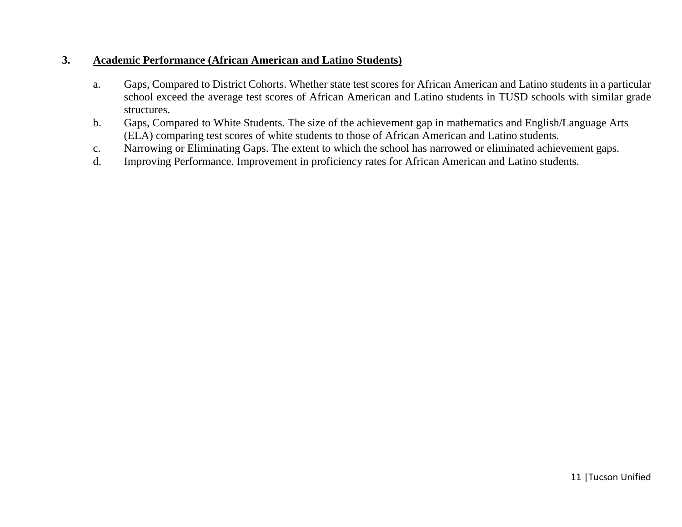## **3. Academic Performance (African American and Latino Students)**

- a. Gaps, Compared to District Cohorts. Whether state test scores for African American and Latino students in a particular school exceed the average test scores of African American and Latino students in TUSD schools with similar grade structures.
- b. Gaps, Compared to White Students. The size of the achievement gap in mathematics and English/Language Arts (ELA) comparing test scores of white students to those of African American and Latino students.
- c. Narrowing or Eliminating Gaps. The extent to which the school has narrowed or eliminated achievement gaps.
- d. Improving Performance. Improvement in proficiency rates for African American and Latino students.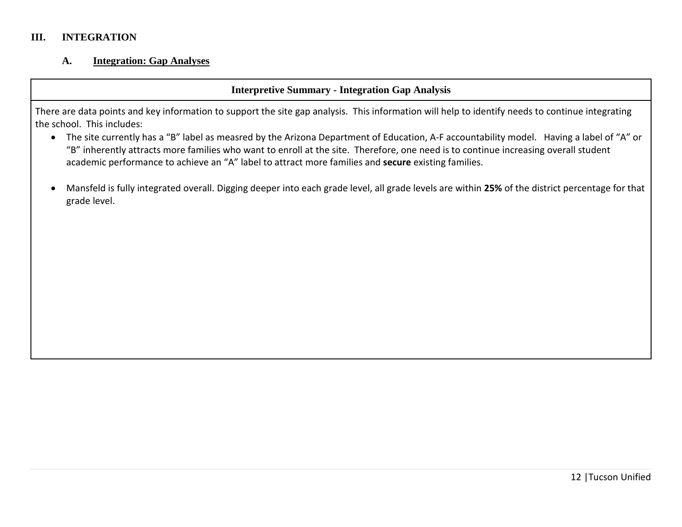### **III. INTEGRATION**

#### **A. Integration: Gap Analyses**

## **Interpretive Summary - Integration Gap Analysis**

There are data points and key information to support the site gap analysis. This information will help to identify needs to continue integrating the school. This includes:

- The site currently has a "B" label as measred by the Arizona Department of Education, A-F accountability model. Having a label of "A" or "B" inherently attracts more families who want to enroll at the site. Therefore, one need is to continue increasing overall student academic performance to achieve an "A" label to attract more families and **secure** existing families.
- Mansfeld is fully integrated overall. Digging deeper into each grade level, all grade levels are within **25%** of the district percentage for that grade level.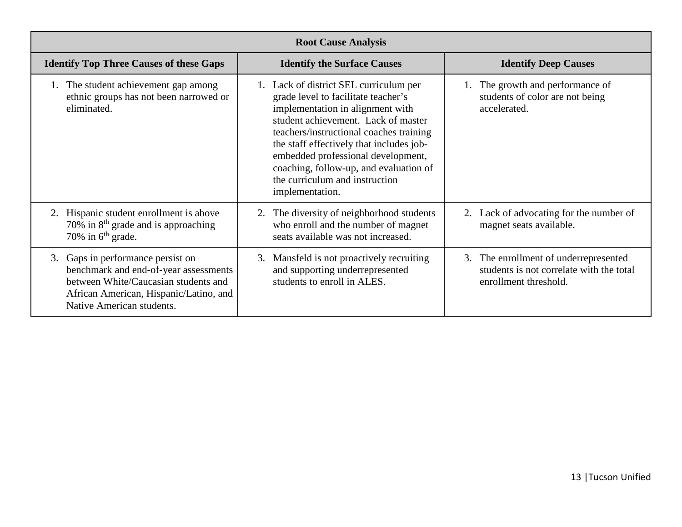|                                                                                                                                                                                              | <b>Root Cause Analysis</b>                                                                                                                                                                                                                                                                                                                                                           |                                                                                                            |
|----------------------------------------------------------------------------------------------------------------------------------------------------------------------------------------------|--------------------------------------------------------------------------------------------------------------------------------------------------------------------------------------------------------------------------------------------------------------------------------------------------------------------------------------------------------------------------------------|------------------------------------------------------------------------------------------------------------|
| <b>Identify Top Three Causes of these Gaps</b>                                                                                                                                               | <b>Identify the Surface Causes</b>                                                                                                                                                                                                                                                                                                                                                   | <b>Identify Deep Causes</b>                                                                                |
| 1. The student achievement gap among<br>ethnic groups has not been narrowed or<br>eliminated.                                                                                                | 1. Lack of district SEL curriculum per<br>grade level to facilitate teacher's<br>implementation in alignment with<br>student achievement. Lack of master<br>teachers/instructional coaches training<br>the staff effectively that includes job-<br>embedded professional development,<br>coaching, follow-up, and evaluation of<br>the curriculum and instruction<br>implementation. | The growth and performance of<br>students of color are not being<br>accelerated.                           |
| 2. Hispanic student enrollment is above<br>70% in $8th$ grade and is approaching<br>70% in $6th$ grade.                                                                                      | 2. The diversity of neighborhood students<br>who enroll and the number of magnet<br>seats available was not increased.                                                                                                                                                                                                                                                               | 2. Lack of advocating for the number of<br>magnet seats available.                                         |
| Gaps in performance persist on<br>3.<br>benchmark and end-of-year assessments<br>between White/Caucasian students and<br>African American, Hispanic/Latino, and<br>Native American students. | 3. Mansfeld is not proactively recruiting<br>and supporting underrepresented<br>students to enroll in ALES.                                                                                                                                                                                                                                                                          | 3. The enrollment of underrepresented<br>students is not correlate with the total<br>enrollment threshold. |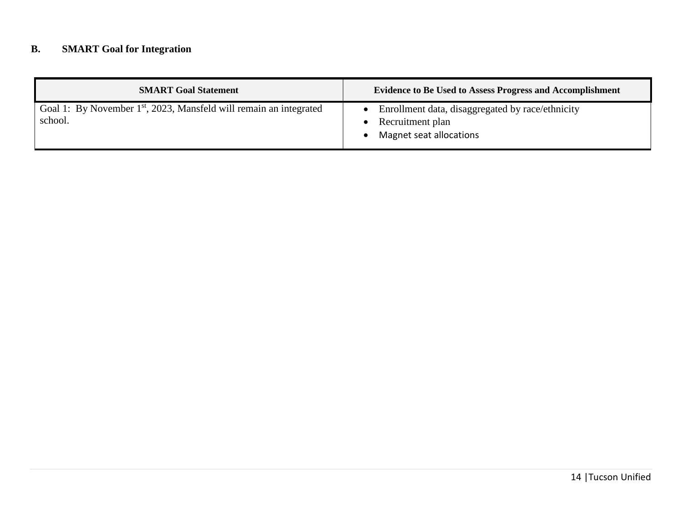# **B. SMART Goal for Integration**

| <b>SMART Goal Statement</b>                                                               | <b>Evidence to Be Used to Assess Progress and Accomplishment</b>                                |
|-------------------------------------------------------------------------------------------|-------------------------------------------------------------------------------------------------|
| Goal 1: By November 1 <sup>st</sup> , 2023, Mansfeld will remain an integrated<br>school. | Enrollment data, disaggregated by race/ethnicity<br>Recruitment plan<br>Magnet seat allocations |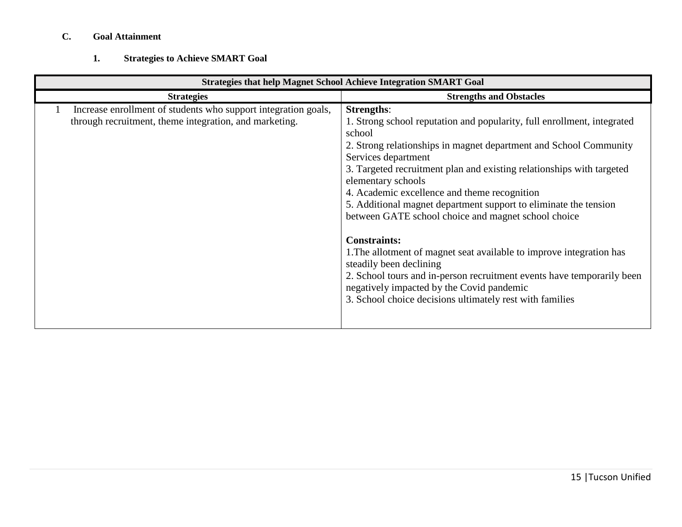## **C. Goal Attainment**

### **1. Strategies to Achieve SMART Goal**

| <b>Strategies that help Magnet School Achieve Integration SMART Goal</b>                                                 |                                                                                                                                                                                                                                                                                                                                                                                                                                                                                                                                                                                                                                                                                                                                                                                           |  |  |  |  |
|--------------------------------------------------------------------------------------------------------------------------|-------------------------------------------------------------------------------------------------------------------------------------------------------------------------------------------------------------------------------------------------------------------------------------------------------------------------------------------------------------------------------------------------------------------------------------------------------------------------------------------------------------------------------------------------------------------------------------------------------------------------------------------------------------------------------------------------------------------------------------------------------------------------------------------|--|--|--|--|
| <b>Strategies</b>                                                                                                        | <b>Strengths and Obstacles</b>                                                                                                                                                                                                                                                                                                                                                                                                                                                                                                                                                                                                                                                                                                                                                            |  |  |  |  |
| Increase enrollment of students who support integration goals,<br>through recruitment, theme integration, and marketing. | <b>Strengths:</b><br>1. Strong school reputation and popularity, full enrollment, integrated<br>school<br>2. Strong relationships in magnet department and School Community<br>Services department<br>3. Targeted recruitment plan and existing relationships with targeted<br>elementary schools<br>4. Academic excellence and theme recognition<br>5. Additional magnet department support to eliminate the tension<br>between GATE school choice and magnet school choice<br><b>Constraints:</b><br>1. The allotment of magnet seat available to improve integration has<br>steadily been declining<br>2. School tours and in-person recruitment events have temporarily been<br>negatively impacted by the Covid pandemic<br>3. School choice decisions ultimately rest with families |  |  |  |  |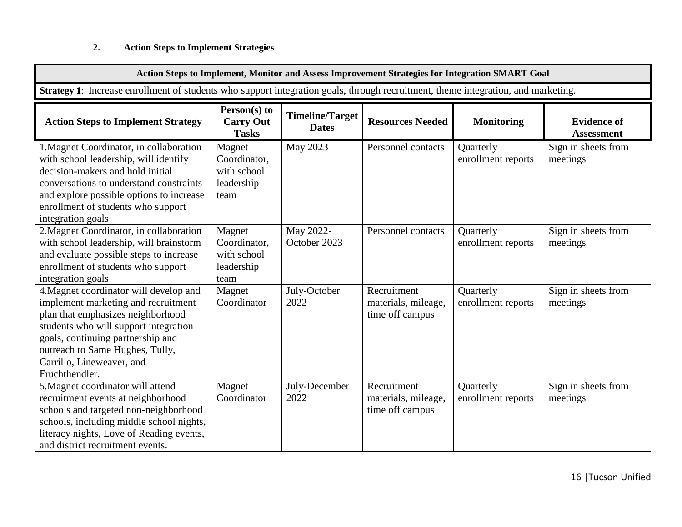## **2. Action Steps to Implement Strategies**

| Action Steps to Implement, Monitor and Assess Improvement Strategies for Integration SMART Goal                                                                                                                                                                                    |                                                             |                                        |                                                       |                                 |                                         |
|------------------------------------------------------------------------------------------------------------------------------------------------------------------------------------------------------------------------------------------------------------------------------------|-------------------------------------------------------------|----------------------------------------|-------------------------------------------------------|---------------------------------|-----------------------------------------|
| Strategy 1: Increase enrollment of students who support integration goals, through recruitment, theme integration, and marketing.                                                                                                                                                  |                                                             |                                        |                                                       |                                 |                                         |
| <b>Action Steps to Implement Strategy</b>                                                                                                                                                                                                                                          | Person(s) to<br><b>Carry Out</b><br><b>Tasks</b>            | <b>Timeline/Target</b><br><b>Dates</b> | <b>Resources Needed</b>                               | <b>Monitoring</b>               | <b>Evidence of</b><br><b>Assessment</b> |
| 1. Magnet Coordinator, in collaboration<br>with school leadership, will identify<br>decision-makers and hold initial<br>conversations to understand constraints<br>and explore possible options to increase<br>enrollment of students who support<br>integration goals             | Magnet<br>Coordinator,<br>with school<br>leadership<br>team | May 2023                               | Personnel contacts                                    | Quarterly<br>enrollment reports | Sign in sheets from<br>meetings         |
| 2. Magnet Coordinator, in collaboration<br>with school leadership, will brainstorm<br>and evaluate possible steps to increase<br>enrollment of students who support<br>integration goals                                                                                           | Magnet<br>Coordinator,<br>with school<br>leadership<br>team | May 2022-<br>October 2023              | Personnel contacts                                    | Quarterly<br>enrollment reports | Sign in sheets from<br>meetings         |
| 4. Magnet coordinator will develop and<br>implement marketing and recruitment<br>plan that emphasizes neighborhood<br>students who will support integration<br>goals, continuing partnership and<br>outreach to Same Hughes, Tully,<br>Carrillo, Lineweaver, and<br>Fruchthendler. | Magnet<br>Coordinator                                       | July-October<br>2022                   | Recruitment<br>materials, mileage,<br>time off campus | Quarterly<br>enrollment reports | Sign in sheets from<br>meetings         |
| 5. Magnet coordinator will attend<br>recruitment events at neighborhood<br>schools and targeted non-neighborhood<br>schools, including middle school nights,<br>literacy nights, Love of Reading events,<br>and district recruitment events.                                       | Magnet<br>Coordinator                                       | July-December<br>2022                  | Recruitment<br>materials, mileage,<br>time off campus | Quarterly<br>enrollment reports | Sign in sheets from<br>meetings         |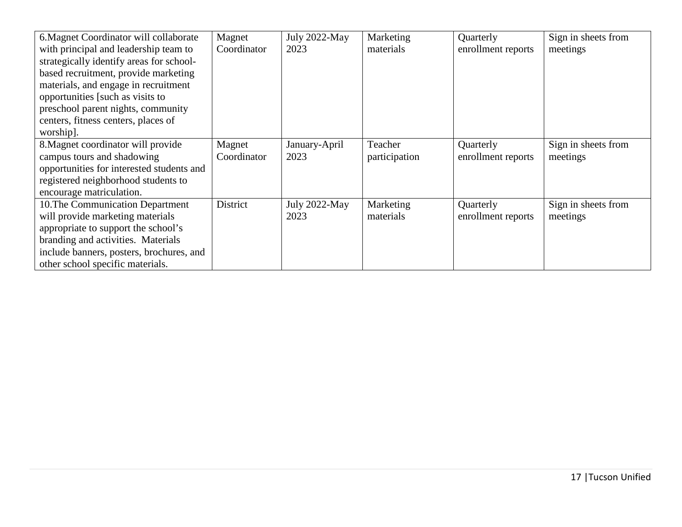| 6. Magnet Coordinator will collaborate    | Magnet      | July 2022-May | Marketing     | Quarterly          | Sign in sheets from |
|-------------------------------------------|-------------|---------------|---------------|--------------------|---------------------|
| with principal and leadership team to     | Coordinator | 2023          | materials     | enrollment reports | meetings            |
| strategically identify areas for school-  |             |               |               |                    |                     |
| based recruitment, provide marketing      |             |               |               |                    |                     |
| materials, and engage in recruitment      |             |               |               |                    |                     |
| opportunities [such as visits to          |             |               |               |                    |                     |
| preschool parent nights, community        |             |               |               |                    |                     |
| centers, fitness centers, places of       |             |               |               |                    |                     |
| worship].                                 |             |               |               |                    |                     |
| 8. Magnet coordinator will provide        | Magnet      | January-April | Teacher       | Quarterly          | Sign in sheets from |
| campus tours and shadowing                | Coordinator | 2023          | participation | enrollment reports | meetings            |
| opportunities for interested students and |             |               |               |                    |                     |
| registered neighborhood students to       |             |               |               |                    |                     |
| encourage matriculation.                  |             |               |               |                    |                     |
| 10. The Communication Department          | District    | July 2022-May | Marketing     | Quarterly          | Sign in sheets from |
| will provide marketing materials          |             | 2023          | materials     | enrollment reports | meetings            |
| appropriate to support the school's       |             |               |               |                    |                     |
| branding and activities. Materials        |             |               |               |                    |                     |
| include banners, posters, brochures, and  |             |               |               |                    |                     |
| other school specific materials.          |             |               |               |                    |                     |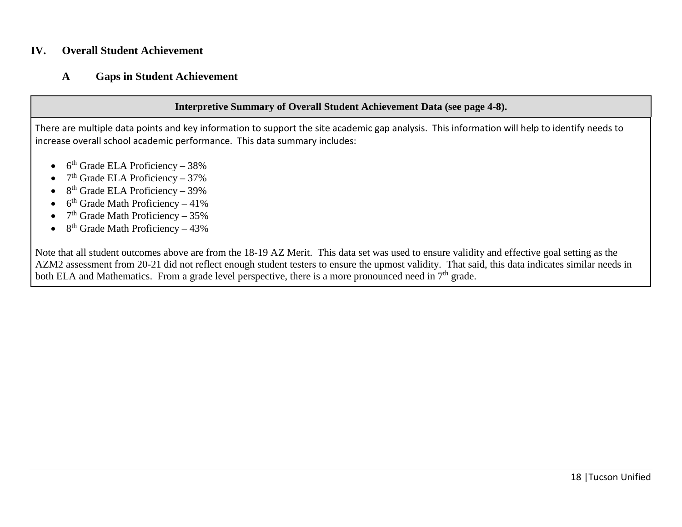### **IV. Overall Student Achievement**

## **A Gaps in Student Achievement**

### **Interpretive Summary of Overall Student Achievement Data (see page 4-8).**

There are multiple data points and key information to support the site academic gap analysis. This information will help to identify needs to increase overall school academic performance. This data summary includes:

- $\bullet$  6<sup>th</sup> Grade ELA Proficiency 38%
- $7<sup>th</sup>$  Grade ELA Proficiency 37%
- $8<sup>th</sup>$  Grade ELA Proficiency 39%
- $6<sup>th</sup>$  Grade Math Proficiency 41%
- $7<sup>th</sup>$  Grade Math Proficiency 35%
- 8<sup>th</sup> Grade Math Proficiency 43%

Note that all student outcomes above are from the 18-19 AZ Merit. This data set was used to ensure validity and effective goal setting as the AZM2 assessment from 20-21 did not reflect enough student testers to ensure the upmost validity. That said, this data indicates similar needs in both ELA and Mathematics. From a grade level perspective, there is a more pronounced need in 7<sup>th</sup> grade.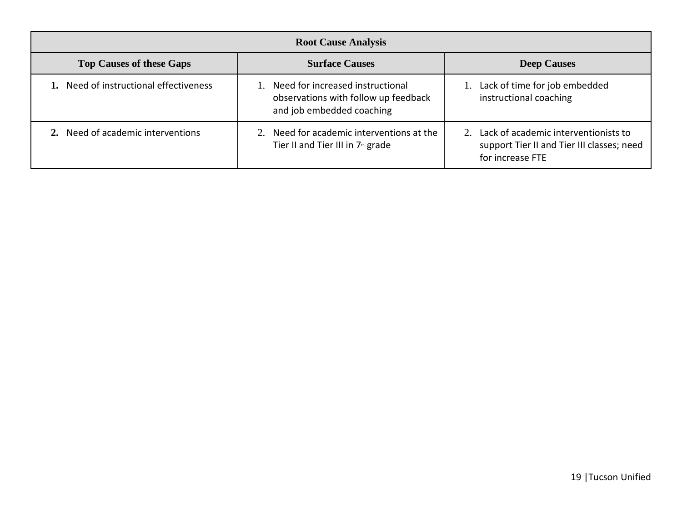| <b>Root Cause Analysis</b>             |                                                                                                          |                                                                                                           |  |  |  |  |
|----------------------------------------|----------------------------------------------------------------------------------------------------------|-----------------------------------------------------------------------------------------------------------|--|--|--|--|
| <b>Top Causes of these Gaps</b>        | <b>Deep Causes</b>                                                                                       |                                                                                                           |  |  |  |  |
| 1. Need of instructional effectiveness | 1. Need for increased instructional<br>observations with follow up feedback<br>and job embedded coaching | 1. Lack of time for job embedded<br>instructional coaching                                                |  |  |  |  |
| 2. Need of academic interventions      | 2. Need for academic interventions at the<br>Tier II and Tier III in 7 <sup>th</sup> grade               | 2. Lack of academic interventionists to<br>support Tier II and Tier III classes; need<br>for increase FTE |  |  |  |  |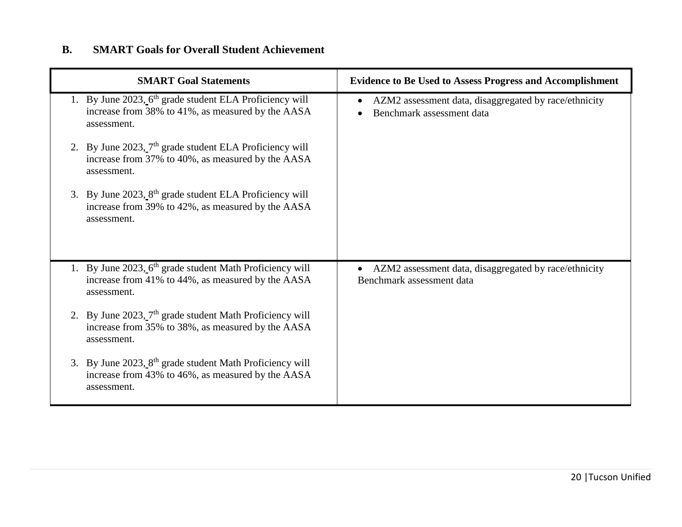## **B. SMART Goals for Overall Student Achievement**

| <b>SMART Goal Statements</b>                                                                                                             | <b>Evidence to Be Used to Assess Progress and Accomplishment</b>                                |
|------------------------------------------------------------------------------------------------------------------------------------------|-------------------------------------------------------------------------------------------------|
| 1. By June 2023, 6 <sup>th</sup> grade student ELA Proficiency will<br>increase from 38% to 41%, as measured by the AASA<br>assessment.  | AZM2 assessment data, disaggregated by race/ethnicity<br>Benchmark assessment data              |
| 2. By June $2023$ , $7th$ grade student ELA Proficiency will<br>increase from 37% to 40%, as measured by the AASA<br>assessment.         |                                                                                                 |
| 3. By June $2023.8$ <sup>th</sup> grade student ELA Proficiency will<br>increase from 39% to 42%, as measured by the AASA<br>assessment. |                                                                                                 |
| 1. By June 2023, 6 <sup>th</sup> grade student Math Proficiency will<br>increase from 41% to 44%, as measured by the AASA<br>assessment. | AZM2 assessment data, disaggregated by race/ethnicity<br>$\bullet$<br>Benchmark assessment data |
| 2. By June $2023$ , $7th$ grade student Math Proficiency will<br>increase from 35% to 38%, as measured by the AASA<br>assessment.        |                                                                                                 |
| 3. By June 2023, 8 <sup>th</sup> grade student Math Proficiency will<br>increase from 43% to 46%, as measured by the AASA<br>assessment. |                                                                                                 |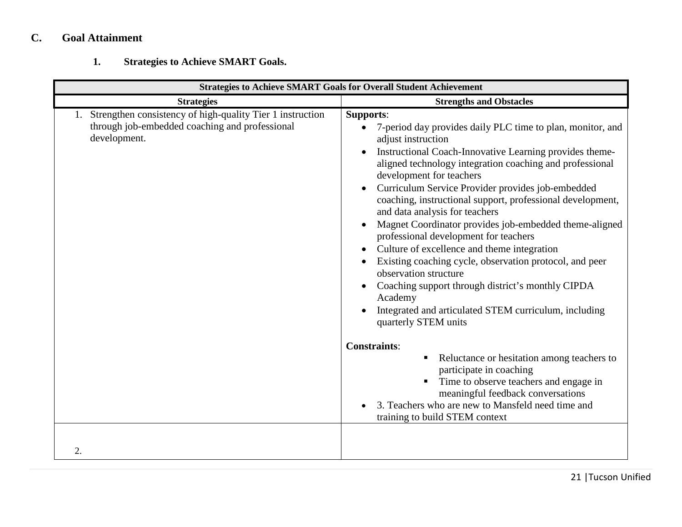# **C. Goal Attainment**

## **1. Strategies to Achieve SMART Goals.**

| <b>Strategies to Achieve SMART Goals for Overall Student Achievement</b>                                                    |                                                                                                                                                                                                                                                                                                                                                                                                                                                                                                                                                                                                                                                                                                                                                                                                                  |  |  |  |
|-----------------------------------------------------------------------------------------------------------------------------|------------------------------------------------------------------------------------------------------------------------------------------------------------------------------------------------------------------------------------------------------------------------------------------------------------------------------------------------------------------------------------------------------------------------------------------------------------------------------------------------------------------------------------------------------------------------------------------------------------------------------------------------------------------------------------------------------------------------------------------------------------------------------------------------------------------|--|--|--|
| <b>Strategies</b>                                                                                                           | <b>Strengths and Obstacles</b>                                                                                                                                                                                                                                                                                                                                                                                                                                                                                                                                                                                                                                                                                                                                                                                   |  |  |  |
| Strengthen consistency of high-quality Tier 1 instruction<br>through job-embedded coaching and professional<br>development. | <b>Supports:</b><br>7-period day provides daily PLC time to plan, monitor, and<br>$\bullet$<br>adjust instruction<br>Instructional Coach-Innovative Learning provides theme-<br>aligned technology integration coaching and professional<br>development for teachers<br>Curriculum Service Provider provides job-embedded<br>coaching, instructional support, professional development,<br>and data analysis for teachers<br>Magnet Coordinator provides job-embedded theme-aligned<br>professional development for teachers<br>Culture of excellence and theme integration<br>Existing coaching cycle, observation protocol, and peer<br>observation structure<br>Coaching support through district's monthly CIPDA<br>Academy<br>Integrated and articulated STEM curriculum, including<br>quarterly STEM units |  |  |  |
|                                                                                                                             | <b>Constraints:</b><br>Reluctance or hesitation among teachers to<br>ш<br>participate in coaching<br>Time to observe teachers and engage in<br>meaningful feedback conversations<br>3. Teachers who are new to Mansfeld need time and<br>training to build STEM context                                                                                                                                                                                                                                                                                                                                                                                                                                                                                                                                          |  |  |  |
| 2.                                                                                                                          |                                                                                                                                                                                                                                                                                                                                                                                                                                                                                                                                                                                                                                                                                                                                                                                                                  |  |  |  |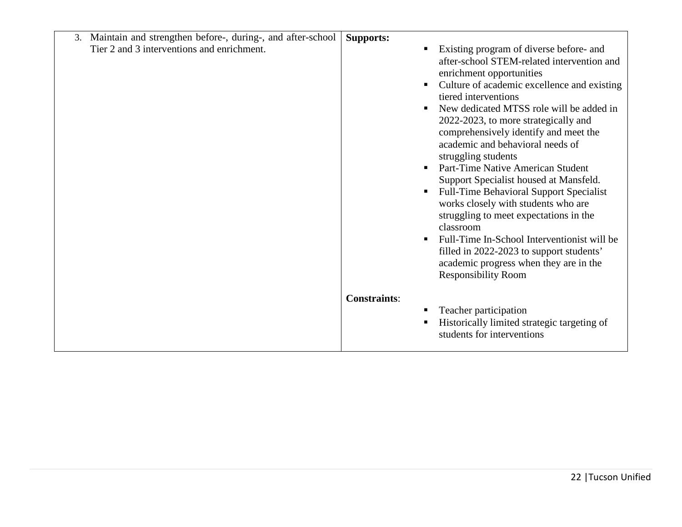| 3. Maintain and strengthen before-, during-, and after-school | <b>Supports:</b>                                                                                                                                                                                                                                                                                                                                                                                                                                                                                                                                                                                                                                                                                                                                                                   |
|---------------------------------------------------------------|------------------------------------------------------------------------------------------------------------------------------------------------------------------------------------------------------------------------------------------------------------------------------------------------------------------------------------------------------------------------------------------------------------------------------------------------------------------------------------------------------------------------------------------------------------------------------------------------------------------------------------------------------------------------------------------------------------------------------------------------------------------------------------|
| Tier 2 and 3 interventions and enrichment.                    | Existing program of diverse before- and<br>after-school STEM-related intervention and<br>enrichment opportunities<br>Culture of academic excellence and existing<br>tiered interventions<br>New dedicated MTSS role will be added in<br>2022-2023, to more strategically and<br>comprehensively identify and meet the<br>academic and behavioral needs of<br>struggling students<br>Part-Time Native American Student<br>Support Specialist housed at Mansfeld.<br><b>Full-Time Behavioral Support Specialist</b><br>works closely with students who are<br>struggling to meet expectations in the<br>classroom<br>Full-Time In-School Interventionist will be<br>filled in 2022-2023 to support students'<br>academic progress when they are in the<br><b>Responsibility Room</b> |
|                                                               | <b>Constraints:</b>                                                                                                                                                                                                                                                                                                                                                                                                                                                                                                                                                                                                                                                                                                                                                                |
|                                                               | Teacher participation<br>Historically limited strategic targeting of<br>students for interventions                                                                                                                                                                                                                                                                                                                                                                                                                                                                                                                                                                                                                                                                                 |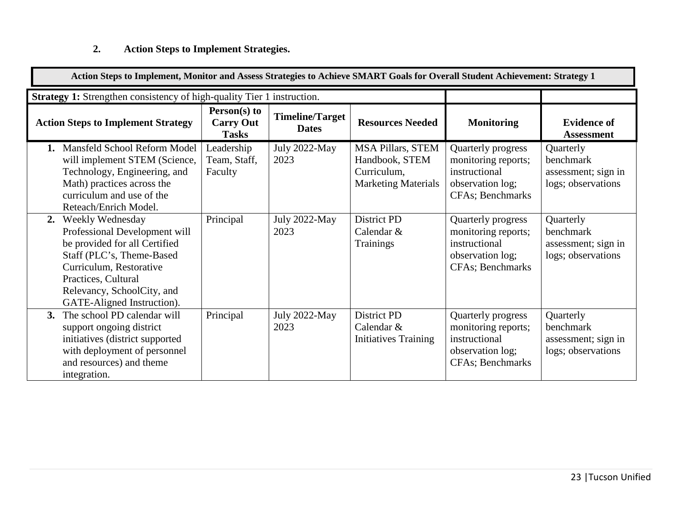# **2. Action Steps to Implement Strategies.**

| Action Steps to Implement, Monitor and Assess Strategies to Achieve SMART Goals for Overall Student Achievement: Strategy 1                                                                                                         |                                                    |                                        |                                                                                         |                                                                                                    |                                                                     |
|-------------------------------------------------------------------------------------------------------------------------------------------------------------------------------------------------------------------------------------|----------------------------------------------------|----------------------------------------|-----------------------------------------------------------------------------------------|----------------------------------------------------------------------------------------------------|---------------------------------------------------------------------|
| <b>Strategy 1:</b> Strengthen consistency of high-quality Tier 1 instruction.                                                                                                                                                       |                                                    |                                        |                                                                                         |                                                                                                    |                                                                     |
| <b>Action Steps to Implement Strategy</b>                                                                                                                                                                                           | $Person(s)$ to<br><b>Carry Out</b><br><b>Tasks</b> | <b>Timeline/Target</b><br><b>Dates</b> | <b>Resources Needed</b>                                                                 | <b>Monitoring</b>                                                                                  | <b>Evidence of</b><br><b>Assessment</b>                             |
| Mansfeld School Reform Model<br>1.<br>will implement STEM (Science,<br>Technology, Engineering, and<br>Math) practices across the<br>curriculum and use of the<br>Reteach/Enrich Model.                                             | Leadership<br>Team, Staff,<br>Faculty              | July 2022-May<br>2023                  | <b>MSA Pillars, STEM</b><br>Handbook, STEM<br>Curriculum,<br><b>Marketing Materials</b> | Quarterly progress<br>monitoring reports;<br>instructional<br>observation log;<br>CFAs; Benchmarks | Quarterly<br>benchmark<br>assessment; sign in<br>logs; observations |
| Weekly Wednesday<br>2.<br>Professional Development will<br>be provided for all Certified<br>Staff (PLC's, Theme-Based<br>Curriculum, Restorative<br>Practices, Cultural<br>Relevancy, SchoolCity, and<br>GATE-Aligned Instruction). | Principal                                          | July 2022-May<br>2023                  | <b>District PD</b><br>Calendar &<br><b>Trainings</b>                                    | Quarterly progress<br>monitoring reports;<br>instructional<br>observation log;<br>CFAs; Benchmarks | Quarterly<br>benchmark<br>assessment; sign in<br>logs; observations |
| The school PD calendar will<br>3.<br>support ongoing district<br>initiatives (district supported<br>with deployment of personnel<br>and resources) and theme<br>integration.                                                        | Principal                                          | July 2022-May<br>2023                  | District PD<br>Calendar &<br><b>Initiatives Training</b>                                | Quarterly progress<br>monitoring reports;<br>instructional<br>observation log;<br>CFAs; Benchmarks | Quarterly<br>benchmark<br>assessment; sign in<br>logs; observations |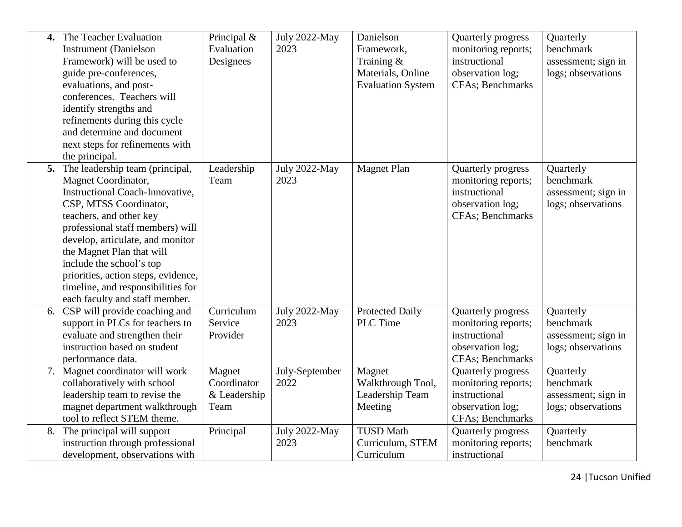| $\mathbf{4}$ | The Teacher Evaluation<br><b>Instrument</b> (Danielson<br>Framework) will be used to<br>guide pre-conferences,<br>evaluations, and post-<br>conferences. Teachers will<br>identify strengths and<br>refinements during this cycle<br>and determine and document<br>next steps for refinements with                                                                                                                  | Principal $&$<br>Evaluation<br>Designees      | July 2022-May<br>2023  | Danielson<br>Framework,<br>Training &<br>Materials, Online<br><b>Evaluation System</b> | Quarterly progress<br>monitoring reports;<br>instructional<br>observation log;<br><b>CFAs</b> ; Benchmarks | Quarterly<br>benchmark<br>assessment; sign in<br>logs; observations |
|--------------|---------------------------------------------------------------------------------------------------------------------------------------------------------------------------------------------------------------------------------------------------------------------------------------------------------------------------------------------------------------------------------------------------------------------|-----------------------------------------------|------------------------|----------------------------------------------------------------------------------------|------------------------------------------------------------------------------------------------------------|---------------------------------------------------------------------|
|              | the principal.<br>5. The leadership team (principal,<br>Magnet Coordinator,<br>Instructional Coach-Innovative,<br>CSP, MTSS Coordinator,<br>teachers, and other key<br>professional staff members) will<br>develop, articulate, and monitor<br>the Magnet Plan that will<br>include the school's top<br>priorities, action steps, evidence,<br>timeline, and responsibilities for<br>each faculty and staff member. | Leadership<br>Team                            | July 2022-May<br>2023  | <b>Magnet Plan</b>                                                                     | Quarterly progress<br>monitoring reports;<br>instructional<br>observation log;<br>CFAs; Benchmarks         | Quarterly<br>benchmark<br>assessment; sign in<br>logs; observations |
| 6.           | CSP will provide coaching and<br>support in PLCs for teachers to<br>evaluate and strengthen their<br>instruction based on student<br>performance data.                                                                                                                                                                                                                                                              | Curriculum<br>Service<br>Provider             | July 2022-May<br>2023  | <b>Protected Daily</b><br><b>PLC</b> Time                                              | Quarterly progress<br>monitoring reports;<br>instructional<br>observation log;<br>CFAs; Benchmarks         | Quarterly<br>benchmark<br>assessment; sign in<br>logs; observations |
|              | 7. Magnet coordinator will work<br>collaboratively with school<br>leadership team to revise the<br>magnet department walkthrough<br>tool to reflect STEM theme.                                                                                                                                                                                                                                                     | Magnet<br>Coordinator<br>& Leadership<br>Team | July-September<br>2022 | Magnet<br>Walkthrough Tool,<br>Leadership Team<br>Meeting                              | Quarterly progress<br>monitoring reports;<br>instructional<br>observation log;<br>CFAs; Benchmarks         | Quarterly<br>benchmark<br>assessment; sign in<br>logs; observations |
| 8.           | The principal will support<br>instruction through professional<br>development, observations with                                                                                                                                                                                                                                                                                                                    | Principal                                     | July 2022-May<br>2023  | <b>TUSD Math</b><br>Curriculum, STEM<br>Curriculum                                     | Quarterly progress<br>monitoring reports;<br>instructional                                                 | Quarterly<br>benchmark                                              |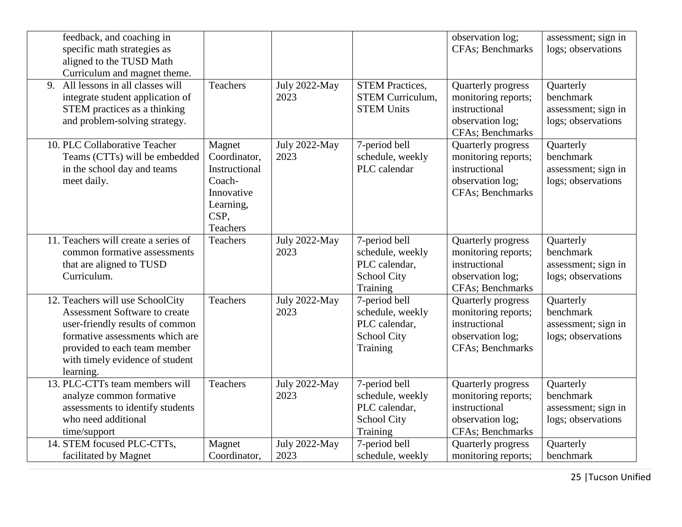| feedback, and coaching in<br>specific math strategies as<br>aligned to the TUSD Math<br>Curriculum and magnet theme.                                                                                                           |                                                                                                  |                              |                                                                                      | observation log;<br>CFAs; Benchmarks                                                               | assessment; sign in<br>logs; observations                           |
|--------------------------------------------------------------------------------------------------------------------------------------------------------------------------------------------------------------------------------|--------------------------------------------------------------------------------------------------|------------------------------|--------------------------------------------------------------------------------------|----------------------------------------------------------------------------------------------------|---------------------------------------------------------------------|
| All lessons in all classes will<br>9.<br>integrate student application of<br>STEM practices as a thinking<br>and problem-solving strategy.                                                                                     | Teachers                                                                                         | <b>July 2022-May</b><br>2023 | <b>STEM Practices,</b><br><b>STEM Curriculum,</b><br><b>STEM Units</b>               | Quarterly progress<br>monitoring reports;<br>instructional<br>observation log;<br>CFAs; Benchmarks | Quarterly<br>benchmark<br>assessment; sign in<br>logs; observations |
| 10. PLC Collaborative Teacher<br>Teams (CTTs) will be embedded<br>in the school day and teams<br>meet daily.                                                                                                                   | Magnet<br>Coordinator,<br>Instructional<br>Coach-<br>Innovative<br>Learning,<br>CSP,<br>Teachers | July 2022-May<br>2023        | 7-period bell<br>schedule, weekly<br>PLC calendar                                    | Quarterly progress<br>monitoring reports;<br>instructional<br>observation log;<br>CFAs; Benchmarks | Quarterly<br>benchmark<br>assessment; sign in<br>logs; observations |
| 11. Teachers will create a series of<br>common formative assessments<br>that are aligned to TUSD<br>Curriculum.                                                                                                                | Teachers                                                                                         | <b>July 2022-May</b><br>2023 | 7-period bell<br>schedule, weekly<br>PLC calendar,<br><b>School City</b><br>Training | Quarterly progress<br>monitoring reports;<br>instructional<br>observation log;<br>CFAs; Benchmarks | Quarterly<br>benchmark<br>assessment; sign in<br>logs; observations |
| 12. Teachers will use SchoolCity<br><b>Assessment Software to create</b><br>user-friendly results of common<br>formative assessments which are<br>provided to each team member<br>with timely evidence of student<br>learning. | Teachers                                                                                         | <b>July 2022-May</b><br>2023 | 7-period bell<br>schedule, weekly<br>PLC calendar,<br><b>School City</b><br>Training | Quarterly progress<br>monitoring reports;<br>instructional<br>observation log;<br>CFAs; Benchmarks | Quarterly<br>benchmark<br>assessment; sign in<br>logs; observations |
| 13. PLC-CTTs team members will<br>analyze common formative<br>assessments to identify students<br>who need additional<br>time/support                                                                                          | Teachers                                                                                         | July 2022-May<br>2023        | 7-period bell<br>schedule, weekly<br>PLC calendar,<br><b>School City</b><br>Training | Quarterly progress<br>monitoring reports;<br>instructional<br>observation log;<br>CFAs; Benchmarks | Quarterly<br>benchmark<br>assessment; sign in<br>logs; observations |
| 14. STEM focused PLC-CTTs,<br>facilitated by Magnet                                                                                                                                                                            | Magnet<br>Coordinator,                                                                           | July 2022-May<br>2023        | 7-period bell<br>schedule, weekly                                                    | Quarterly progress<br>monitoring reports;                                                          | Quarterly<br>benchmark                                              |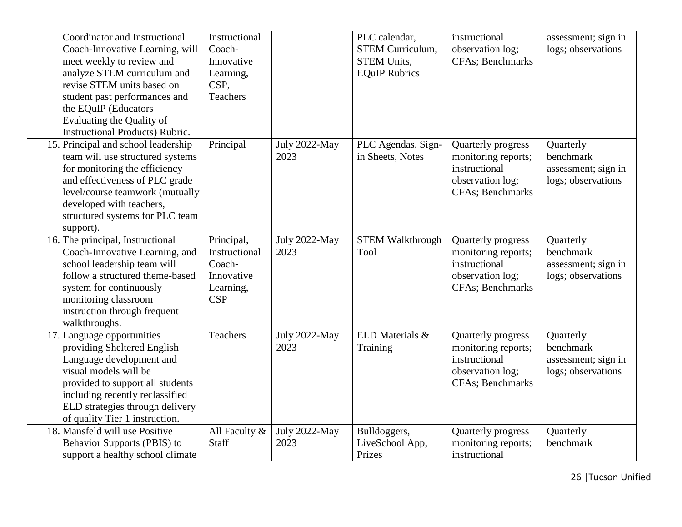| Coordinator and Instructional<br>Coach-Innovative Learning, will<br>meet weekly to review and<br>analyze STEM curriculum and<br>revise STEM units based on<br>student past performances and<br>the EQuIP (Educators<br>Evaluating the Quality of<br><b>Instructional Products) Rubric.</b> | Instructional<br>Coach-<br>Innovative<br>Learning,<br>CSP,<br><b>Teachers</b>  |                       | PLC calendar,<br><b>STEM Curriculum,</b><br><b>STEM Units,</b><br><b>EQuIP Rubrics</b> | instructional<br>observation log;<br>CFAs; Benchmarks                                              | assessment; sign in<br>logs; observations                           |
|--------------------------------------------------------------------------------------------------------------------------------------------------------------------------------------------------------------------------------------------------------------------------------------------|--------------------------------------------------------------------------------|-----------------------|----------------------------------------------------------------------------------------|----------------------------------------------------------------------------------------------------|---------------------------------------------------------------------|
| 15. Principal and school leadership<br>team will use structured systems<br>for monitoring the efficiency<br>and effectiveness of PLC grade<br>level/course teamwork (mutually<br>developed with teachers,<br>structured systems for PLC team<br>support).                                  | Principal                                                                      | July 2022-May<br>2023 | PLC Agendas, Sign-<br>in Sheets, Notes                                                 | Quarterly progress<br>monitoring reports;<br>instructional<br>observation log;<br>CFAs; Benchmarks | Quarterly<br>benchmark<br>assessment; sign in<br>logs; observations |
| 16. The principal, Instructional<br>Coach-Innovative Learning, and<br>school leadership team will<br>follow a structured theme-based<br>system for continuously<br>monitoring classroom<br>instruction through frequent<br>walkthroughs.                                                   | Principal,<br>Instructional<br>Coach-<br>Innovative<br>Learning,<br><b>CSP</b> | July 2022-May<br>2023 | <b>STEM Walkthrough</b><br>Tool                                                        | Quarterly progress<br>monitoring reports;<br>instructional<br>observation log;<br>CFAs; Benchmarks | Quarterly<br>benchmark<br>assessment; sign in<br>logs; observations |
| 17. Language opportunities<br>providing Sheltered English<br>Language development and<br>visual models will be<br>provided to support all students<br>including recently reclassified<br>ELD strategies through delivery<br>of quality Tier 1 instruction.                                 | <b>Teachers</b>                                                                | July 2022-May<br>2023 | ELD Materials &<br>Training                                                            | Quarterly progress<br>monitoring reports;<br>instructional<br>observation log;<br>CFAs; Benchmarks | Quarterly<br>benchmark<br>assessment; sign in<br>logs; observations |
| 18. Mansfeld will use Positive<br>Behavior Supports (PBIS) to<br>support a healthy school climate                                                                                                                                                                                          | All Faculty &<br>Staff                                                         | July 2022-May<br>2023 | Bulldoggers,<br>LiveSchool App,<br>Prizes                                              | Quarterly progress<br>monitoring reports;<br>instructional                                         | Quarterly<br>benchmark                                              |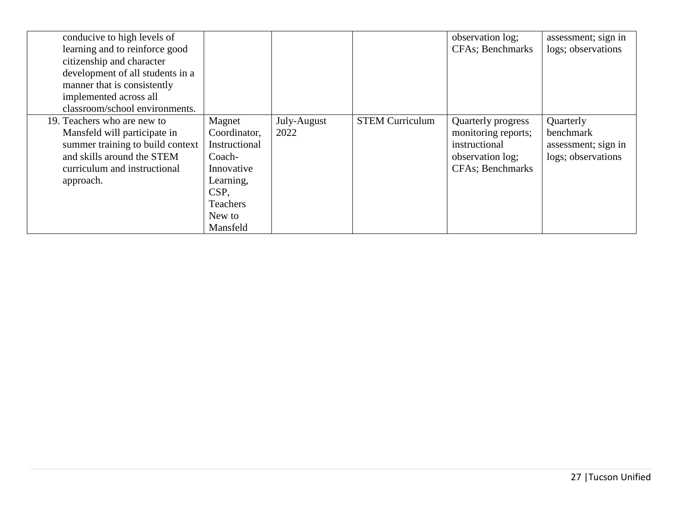| conducive to high levels of      |                 |             |                        | observation log;         | assessment; sign in |
|----------------------------------|-----------------|-------------|------------------------|--------------------------|---------------------|
| learning and to reinforce good   |                 |             |                        | <b>CFAs</b> ; Benchmarks | logs; observations  |
| citizenship and character        |                 |             |                        |                          |                     |
| development of all students in a |                 |             |                        |                          |                     |
| manner that is consistently      |                 |             |                        |                          |                     |
| implemented across all           |                 |             |                        |                          |                     |
| classroom/school environments.   |                 |             |                        |                          |                     |
| 19. Teachers who are new to      | Magnet          | July-August | <b>STEM Curriculum</b> | Quarterly progress       | Quarterly           |
| Mansfeld will participate in     | Coordinator,    | 2022        |                        | monitoring reports;      | benchmark           |
| summer training to build context | Instructional   |             |                        | instructional            | assessment; sign in |
| and skills around the STEM       | Coach-          |             |                        | observation log;         | logs; observations  |
| curriculum and instructional     | Innovative      |             |                        | <b>CFAs</b> ; Benchmarks |                     |
| approach.                        | Learning,       |             |                        |                          |                     |
|                                  | CSP,            |             |                        |                          |                     |
|                                  | <b>Teachers</b> |             |                        |                          |                     |
|                                  | New to          |             |                        |                          |                     |
|                                  | Mansfeld        |             |                        |                          |                     |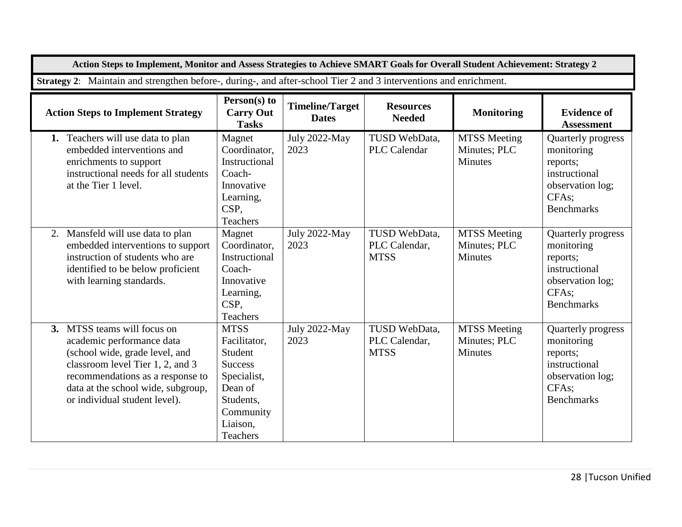| Action Steps to Implement, Monitor and Assess Strategies to Achieve SMART Goals for Overall Student Achievement: Strategy 2                                                                                                               |                                                                                                                                             |                                        |                                               |                                                       |                                                                                                                              |  |
|-------------------------------------------------------------------------------------------------------------------------------------------------------------------------------------------------------------------------------------------|---------------------------------------------------------------------------------------------------------------------------------------------|----------------------------------------|-----------------------------------------------|-------------------------------------------------------|------------------------------------------------------------------------------------------------------------------------------|--|
| Strategy 2: Maintain and strengthen before-, during-, and after-school Tier 2 and 3 interventions and enrichment.                                                                                                                         |                                                                                                                                             |                                        |                                               |                                                       |                                                                                                                              |  |
| <b>Action Steps to Implement Strategy</b>                                                                                                                                                                                                 | Person(s) to<br><b>Carry Out</b><br><b>Tasks</b>                                                                                            | <b>Timeline/Target</b><br><b>Dates</b> | <b>Resources</b><br><b>Needed</b>             | <b>Monitoring</b>                                     | <b>Evidence of</b><br><b>Assessment</b>                                                                                      |  |
| 1. Teachers will use data to plan<br>embedded interventions and<br>enrichments to support<br>instructional needs for all students<br>at the Tier 1 level.                                                                                 | Magnet<br>Coordinator,<br>Instructional<br>Coach-<br>Innovative<br>Learning,<br>CSP,<br>Teachers                                            | July 2022-May<br>2023                  | TUSD WebData,<br><b>PLC</b> Calendar          | <b>MTSS</b> Meeting<br>Minutes; PLC<br><b>Minutes</b> | Quarterly progress<br>monitoring<br>reports;<br>instructional<br>observation log;<br>CFA <sub>s</sub> ;<br><b>Benchmarks</b> |  |
| Mansfeld will use data to plan<br>2.<br>embedded interventions to support<br>instruction of students who are<br>identified to be below proficient<br>with learning standards.                                                             | Magnet<br>Coordinator,<br>Instructional<br>Coach-<br>Innovative<br>Learning,<br>CSP,<br>Teachers                                            | July 2022-May<br>2023                  | TUSD WebData,<br>PLC Calendar,<br><b>MTSS</b> | <b>MTSS Meeting</b><br>Minutes; PLC<br><b>Minutes</b> | Quarterly progress<br>monitoring<br>reports;<br>instructional<br>observation log;<br>CFAs;<br><b>Benchmarks</b>              |  |
| 3. MTSS teams will focus on<br>academic performance data<br>(school wide, grade level, and<br>classroom level Tier 1, 2, and 3<br>recommendations as a response to<br>data at the school wide, subgroup,<br>or individual student level). | <b>MTSS</b><br>Facilitator,<br>Student<br><b>Success</b><br>Specialist,<br>Dean of<br>Students,<br>Community<br>Liaison,<br><b>Teachers</b> | July 2022-May<br>2023                  | TUSD WebData,<br>PLC Calendar,<br><b>MTSS</b> | <b>MTSS Meeting</b><br>Minutes; PLC<br><b>Minutes</b> | Quarterly progress<br>monitoring<br>reports;<br>instructional<br>observation log;<br>CFA <sub>s</sub> :<br><b>Benchmarks</b> |  |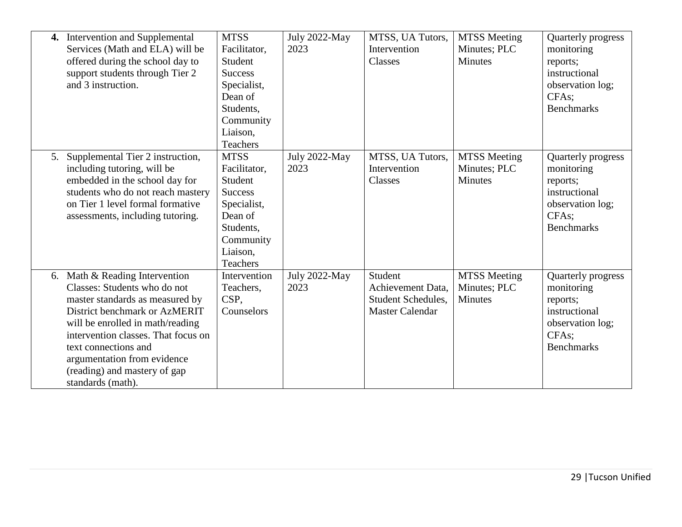|    | 4. Intervention and Supplemental    | <b>MTSS</b>    | July 2022-May | MTSS, UA Tutors,       | <b>MTSS</b> Meeting | Quarterly progress |
|----|-------------------------------------|----------------|---------------|------------------------|---------------------|--------------------|
|    | Services (Math and ELA) will be     | Facilitator,   | 2023          | Intervention           | Minutes; PLC        | monitoring         |
|    | offered during the school day to    | Student        |               | Classes                | <b>Minutes</b>      | reports;           |
|    | support students through Tier 2     | <b>Success</b> |               |                        |                     | instructional      |
|    | and 3 instruction.                  | Specialist,    |               |                        |                     | observation log;   |
|    |                                     | Dean of        |               |                        |                     | CFAs;              |
|    |                                     | Students,      |               |                        |                     | <b>Benchmarks</b>  |
|    |                                     | Community      |               |                        |                     |                    |
|    |                                     | Liaison,       |               |                        |                     |                    |
|    |                                     | Teachers       |               |                        |                     |                    |
| 5. | Supplemental Tier 2 instruction,    | <b>MTSS</b>    | July 2022-May | MTSS, UA Tutors,       | <b>MTSS Meeting</b> | Quarterly progress |
|    | including tutoring, will be         | Facilitator,   | 2023          | Intervention           | Minutes; PLC        | monitoring         |
|    | embedded in the school day for      | Student        |               | Classes                | <b>Minutes</b>      | reports;           |
|    | students who do not reach mastery   | <b>Success</b> |               |                        |                     | instructional      |
|    | on Tier 1 level formal formative    | Specialist,    |               |                        |                     | observation log;   |
|    | assessments, including tutoring.    | Dean of        |               |                        |                     | CFAs;              |
|    |                                     | Students,      |               |                        |                     | <b>Benchmarks</b>  |
|    |                                     | Community      |               |                        |                     |                    |
|    |                                     | Liaison,       |               |                        |                     |                    |
|    |                                     | Teachers       |               |                        |                     |                    |
|    | 6. Math & Reading Intervention      | Intervention   | July 2022-May | Student                | <b>MTSS</b> Meeting | Quarterly progress |
|    | Classes: Students who do not        | Teachers,      | 2023          | Achievement Data,      | Minutes; PLC        | monitoring         |
|    | master standards as measured by     | CSP,           |               | Student Schedules,     | <b>Minutes</b>      | reports;           |
|    | District benchmark or AzMERIT       | Counselors     |               | <b>Master Calendar</b> |                     | instructional      |
|    | will be enrolled in math/reading    |                |               |                        |                     | observation log;   |
|    | intervention classes. That focus on |                |               |                        |                     | CFAs;              |
|    | text connections and                |                |               |                        |                     | <b>Benchmarks</b>  |
|    | argumentation from evidence         |                |               |                        |                     |                    |
|    | (reading) and mastery of gap        |                |               |                        |                     |                    |
|    | standards (math).                   |                |               |                        |                     |                    |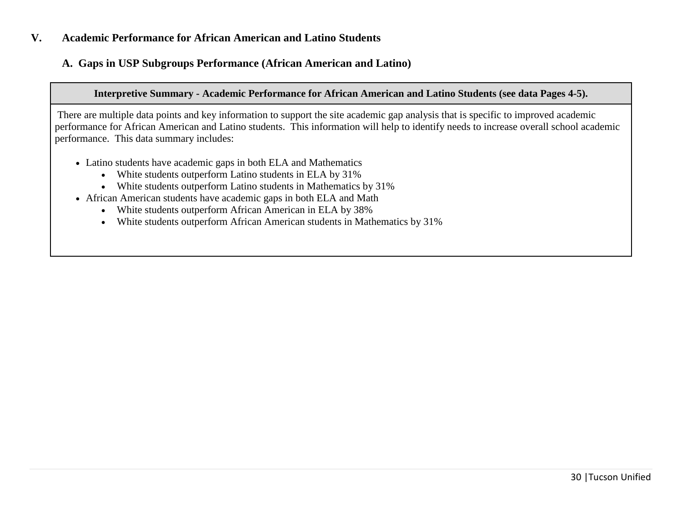### **V. Academic Performance for African American and Latino Students**

### **A. Gaps in USP Subgroups Performance (African American and Latino)**

### **Interpretive Summary - Academic Performance for African American and Latino Students (see data Pages 4-5).**

There are multiple data points and key information to support the site academic gap analysis that is specific to improved academic performance for African American and Latino students. This information will help to identify needs to increase overall school academic performance. This data summary includes:

- Latino students have academic gaps in both ELA and Mathematics
	- White students outperform Latino students in ELA by 31%
	- White students outperform Latino students in Mathematics by 31%
- African American students have academic gaps in both ELA and Math
	- White students outperform African American in ELA by 38%
	- White students outperform African American students in Mathematics by 31%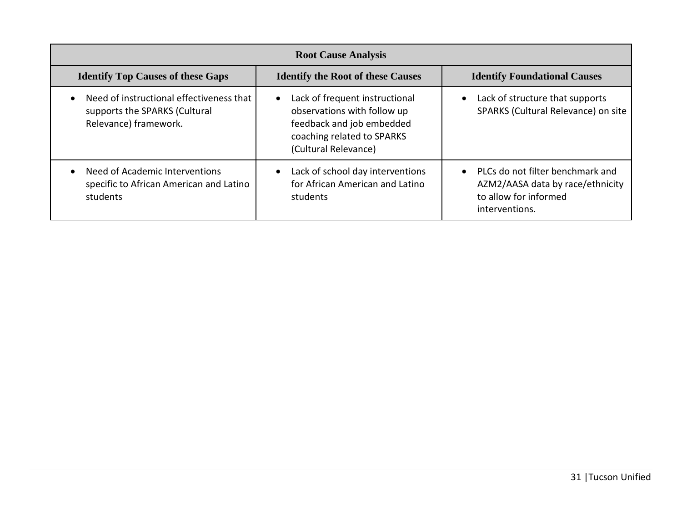| <b>Root Cause Analysis</b>                                                                         |                                                                                                                                                               |                                                                                                                              |  |  |  |  |
|----------------------------------------------------------------------------------------------------|---------------------------------------------------------------------------------------------------------------------------------------------------------------|------------------------------------------------------------------------------------------------------------------------------|--|--|--|--|
| <b>Identify Top Causes of these Gaps</b>                                                           | <b>Identify the Root of these Causes</b>                                                                                                                      | <b>Identify Foundational Causes</b>                                                                                          |  |  |  |  |
| Need of instructional effectiveness that<br>supports the SPARKS (Cultural<br>Relevance) framework. | Lack of frequent instructional<br>$\bullet$<br>observations with follow up<br>feedback and job embedded<br>coaching related to SPARKS<br>(Cultural Relevance) | Lack of structure that supports<br>$\bullet$<br>SPARKS (Cultural Relevance) on site                                          |  |  |  |  |
| Need of Academic Interventions<br>specific to African American and Latino<br>students              | Lack of school day interventions<br>$\bullet$<br>for African American and Latino<br>students                                                                  | PLCs do not filter benchmark and<br>$\bullet$<br>AZM2/AASA data by race/ethnicity<br>to allow for informed<br>interventions. |  |  |  |  |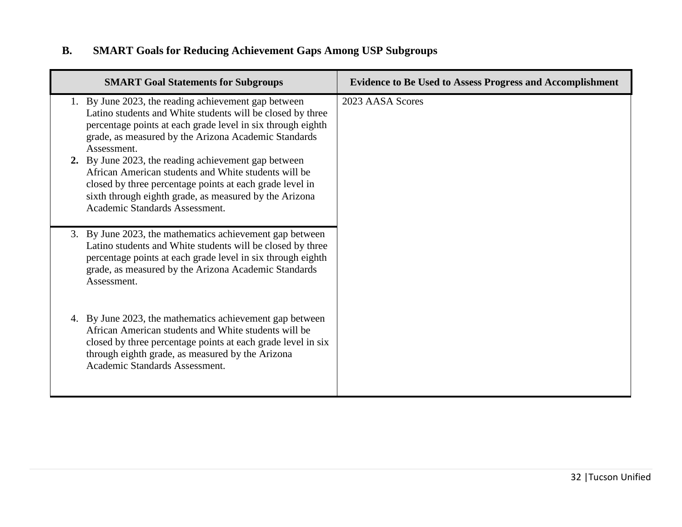# **B. SMART Goals for Reducing Achievement Gaps Among USP Subgroups**

| <b>SMART Goal Statements for Subgroups</b>                                                                                                                                                                                                                                                                       | <b>Evidence to Be Used to Assess Progress and Accomplishment</b> |
|------------------------------------------------------------------------------------------------------------------------------------------------------------------------------------------------------------------------------------------------------------------------------------------------------------------|------------------------------------------------------------------|
| 1. By June 2023, the reading achievement gap between<br>Latino students and White students will be closed by three<br>percentage points at each grade level in six through eighth<br>grade, as measured by the Arizona Academic Standards<br>Assessment.<br>2. By June 2023, the reading achievement gap between | 2023 AASA Scores                                                 |
| African American students and White students will be<br>closed by three percentage points at each grade level in<br>sixth through eighth grade, as measured by the Arizona<br>Academic Standards Assessment.                                                                                                     |                                                                  |
| 3. By June 2023, the mathematics achievement gap between<br>Latino students and White students will be closed by three<br>percentage points at each grade level in six through eighth<br>grade, as measured by the Arizona Academic Standards<br>Assessment.                                                     |                                                                  |
| 4. By June 2023, the mathematics achievement gap between<br>African American students and White students will be<br>closed by three percentage points at each grade level in six<br>through eighth grade, as measured by the Arizona<br>Academic Standards Assessment.                                           |                                                                  |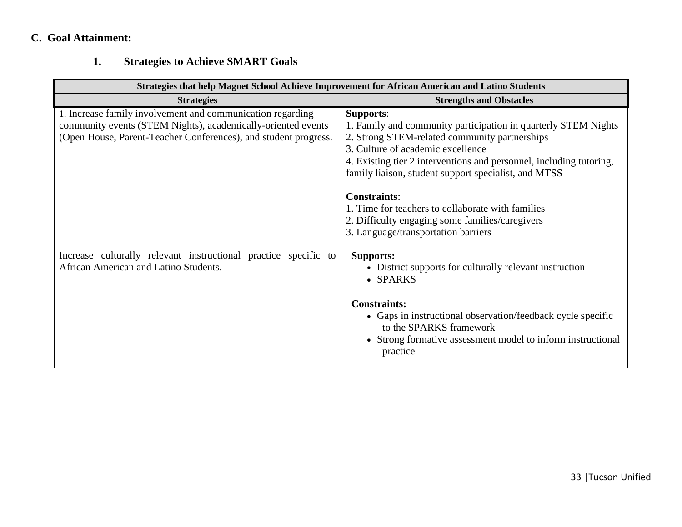# **C. Goal Attainment:**

# **1. Strategies to Achieve SMART Goals**

|                                                                                                                                                                                               | Strategies that help Magnet School Achieve Improvement for African American and Latino Students                                                                                                                                                                                                                                |  |  |  |  |  |
|-----------------------------------------------------------------------------------------------------------------------------------------------------------------------------------------------|--------------------------------------------------------------------------------------------------------------------------------------------------------------------------------------------------------------------------------------------------------------------------------------------------------------------------------|--|--|--|--|--|
| <b>Strategies</b>                                                                                                                                                                             | <b>Strengths and Obstacles</b>                                                                                                                                                                                                                                                                                                 |  |  |  |  |  |
| 1. Increase family involvement and communication regarding<br>community events (STEM Nights), academically-oriented events<br>(Open House, Parent-Teacher Conferences), and student progress. | <b>Supports:</b><br>1. Family and community participation in quarterly STEM Nights<br>2. Strong STEM-related community partnerships<br>3. Culture of academic excellence<br>4. Existing tier 2 interventions and personnel, including tutoring,<br>family liaison, student support specialist, and MTSS<br><b>Constraints:</b> |  |  |  |  |  |
|                                                                                                                                                                                               | 1. Time for teachers to collaborate with families<br>2. Difficulty engaging some families/caregivers<br>3. Language/transportation barriers                                                                                                                                                                                    |  |  |  |  |  |
| Increase culturally relevant instructional practice specific to<br>African American and Latino Students.                                                                                      | <b>Supports:</b><br>• District supports for culturally relevant instruction<br>• SPARKS                                                                                                                                                                                                                                        |  |  |  |  |  |
|                                                                                                                                                                                               | <b>Constraints:</b><br>• Gaps in instructional observation/feedback cycle specific<br>to the SPARKS framework<br>• Strong formative assessment model to inform instructional<br>practice                                                                                                                                       |  |  |  |  |  |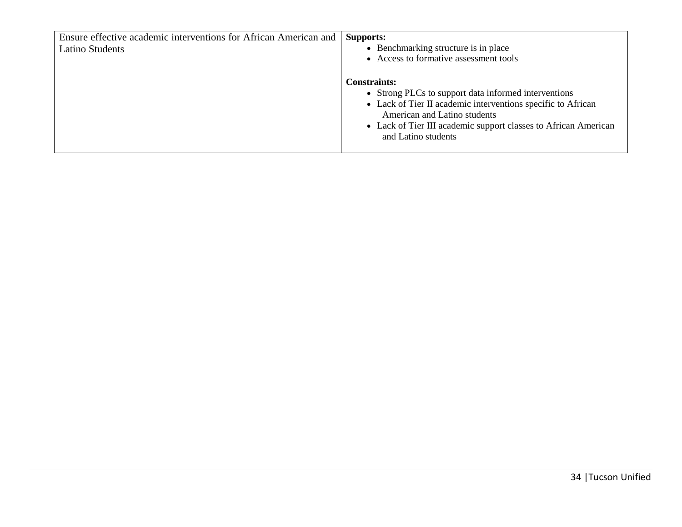| Ensure effective academic interventions for African American and | <b>Supports:</b>                                                               |
|------------------------------------------------------------------|--------------------------------------------------------------------------------|
| <b>Latino Students</b>                                           | • Benchmarking structure is in place<br>• Access to formative assessment tools |
|                                                                  |                                                                                |
|                                                                  | <b>Constraints:</b>                                                            |
|                                                                  | • Strong PLCs to support data informed interventions                           |
|                                                                  | • Lack of Tier II academic interventions specific to African                   |
|                                                                  | American and Latino students                                                   |
|                                                                  | • Lack of Tier III academic support classes to African American                |
|                                                                  | and Latino students                                                            |
|                                                                  |                                                                                |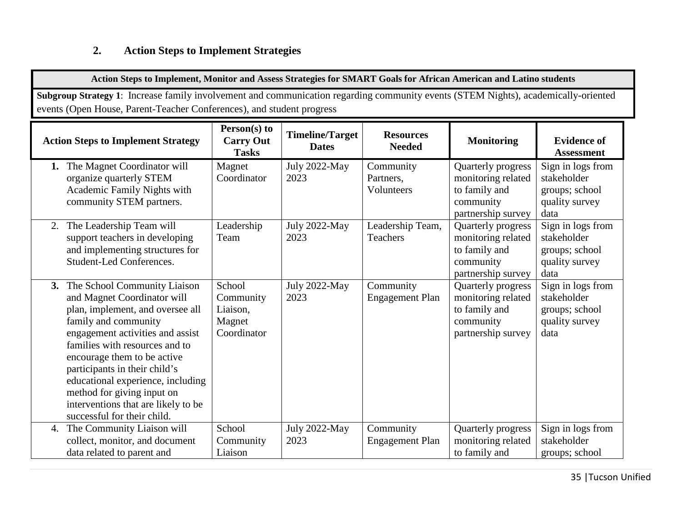## **2. Action Steps to Implement Strategies**

**Action Steps to Implement, Monitor and Assess Strategies for SMART Goals for African American and Latino students**

**Subgroup Strategy 1**: Increase family involvement and communication regarding community events (STEM Nights), academically-oriented events (Open House, Parent-Teacher Conferences), and student progress

| <b>Action Steps to Implement Strategy</b>                                                                                                                                                                                                                                                                                                                                                                 | Person(s) to<br><b>Carry Out</b><br><b>Tasks</b>         | <b>Timeline/Target</b><br><b>Dates</b> | <b>Resources</b><br><b>Needed</b>    | <b>Monitoring</b>                                                                            | <b>Evidence of</b><br><b>Assessment</b>                                      |
|-----------------------------------------------------------------------------------------------------------------------------------------------------------------------------------------------------------------------------------------------------------------------------------------------------------------------------------------------------------------------------------------------------------|----------------------------------------------------------|----------------------------------------|--------------------------------------|----------------------------------------------------------------------------------------------|------------------------------------------------------------------------------|
| The Magnet Coordinator will<br>organize quarterly STEM<br>Academic Family Nights with<br>community STEM partners.                                                                                                                                                                                                                                                                                         | Magnet<br>Coordinator                                    | July 2022-May<br>2023                  | Community<br>Partners,<br>Volunteers | Quarterly progress<br>monitoring related<br>to family and<br>community<br>partnership survey | Sign in logs from<br>stakeholder<br>groups; school<br>quality survey<br>data |
| The Leadership Team will<br>2.<br>support teachers in developing<br>and implementing structures for<br><b>Student-Led Conferences.</b>                                                                                                                                                                                                                                                                    | Leadership<br>Team                                       | July 2022-May<br>2023                  | Leadership Team,<br><b>Teachers</b>  | Quarterly progress<br>monitoring related<br>to family and<br>community<br>partnership survey | Sign in logs from<br>stakeholder<br>groups; school<br>quality survey<br>data |
| 3. The School Community Liaison<br>and Magnet Coordinator will<br>plan, implement, and oversee all<br>family and community<br>engagement activities and assist<br>families with resources and to<br>encourage them to be active<br>participants in their child's<br>educational experience, including<br>method for giving input on<br>interventions that are likely to be<br>successful for their child. | School<br>Community<br>Liaison,<br>Magnet<br>Coordinator | July 2022-May<br>2023                  | Community<br><b>Engagement Plan</b>  | Quarterly progress<br>monitoring related<br>to family and<br>community<br>partnership survey | Sign in logs from<br>stakeholder<br>groups; school<br>quality survey<br>data |
| The Community Liaison will<br>4.<br>collect, monitor, and document<br>data related to parent and                                                                                                                                                                                                                                                                                                          | School<br>Community<br>Liaison                           | July 2022-May<br>2023                  | Community<br><b>Engagement Plan</b>  | Quarterly progress<br>monitoring related<br>to family and                                    | Sign in logs from<br>stakeholder<br>groups; school                           |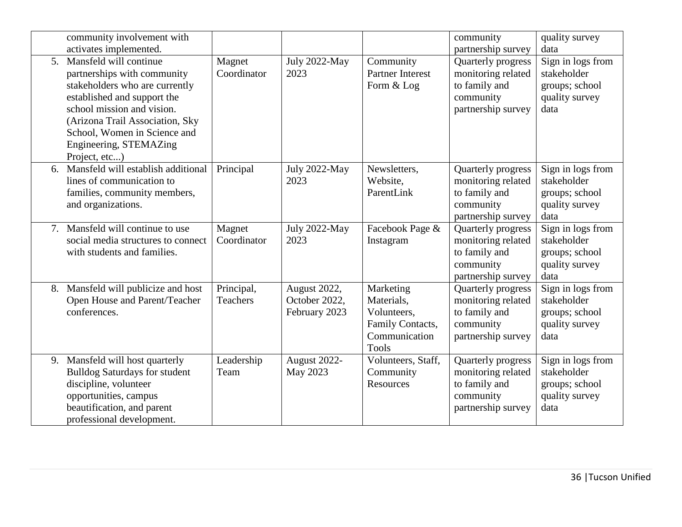|                | community involvement with<br>activates implemented.                                                                                                                                                                                                               |                        |                                                |                                                                                             | community<br>partnership survey                                                              | quality survey<br>data                                                       |
|----------------|--------------------------------------------------------------------------------------------------------------------------------------------------------------------------------------------------------------------------------------------------------------------|------------------------|------------------------------------------------|---------------------------------------------------------------------------------------------|----------------------------------------------------------------------------------------------|------------------------------------------------------------------------------|
| 5 <sub>1</sub> | Mansfeld will continue<br>partnerships with community<br>stakeholders who are currently<br>established and support the<br>school mission and vision.<br>(Arizona Trail Association, Sky<br>School, Women in Science and<br>Engineering, STEMAZing<br>Project, etc) | Magnet<br>Coordinator  | July 2022-May<br>2023                          | Community<br><b>Partner Interest</b><br>Form & Log                                          | Quarterly progress<br>monitoring related<br>to family and<br>community<br>partnership survey | Sign in logs from<br>stakeholder<br>groups; school<br>quality survey<br>data |
| 6.             | Mansfeld will establish additional<br>lines of communication to<br>families, community members,<br>and organizations.                                                                                                                                              | Principal              | <b>July 2022-May</b><br>2023                   | Newsletters,<br>Website,<br>ParentLink                                                      | Quarterly progress<br>monitoring related<br>to family and<br>community<br>partnership survey | Sign in logs from<br>stakeholder<br>groups; school<br>quality survey<br>data |
| 7.             | Mansfeld will continue to use<br>social media structures to connect<br>with students and families.                                                                                                                                                                 | Magnet<br>Coordinator  | July 2022-May<br>2023                          | Facebook Page &<br>Instagram                                                                | Quarterly progress<br>monitoring related<br>to family and<br>community<br>partnership survey | Sign in logs from<br>stakeholder<br>groups; school<br>quality survey<br>data |
|                | 8. Mansfeld will publicize and host<br>Open House and Parent/Teacher<br>conferences.                                                                                                                                                                               | Principal,<br>Teachers | August 2022,<br>October 2022,<br>February 2023 | Marketing<br>Materials.<br>Volunteers.<br>Family Contacts,<br>Communication<br><b>Tools</b> | Quarterly progress<br>monitoring related<br>to family and<br>community<br>partnership survey | Sign in logs from<br>stakeholder<br>groups; school<br>quality survey<br>data |
| 9.             | Mansfeld will host quarterly<br><b>Bulldog Saturdays for student</b><br>discipline, volunteer<br>opportunities, campus<br>beautification, and parent<br>professional development.                                                                                  | Leadership<br>Team     | August 2022-<br>May 2023                       | Volunteers, Staff,<br>Community<br>Resources                                                | Quarterly progress<br>monitoring related<br>to family and<br>community<br>partnership survey | Sign in logs from<br>stakeholder<br>groups; school<br>quality survey<br>data |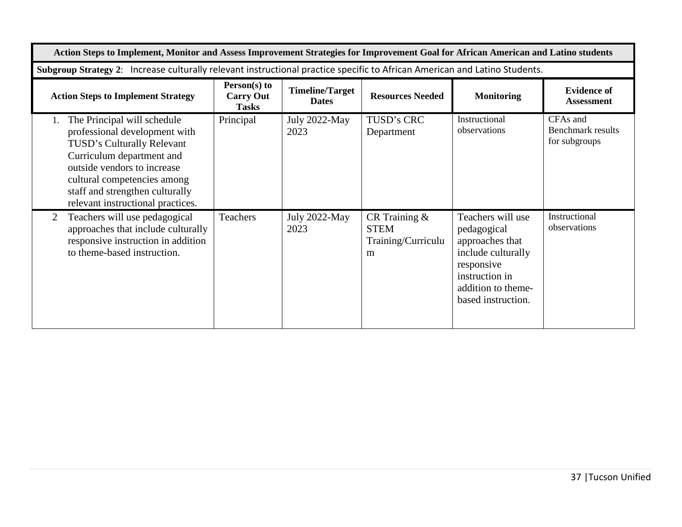| Action Steps to Implement, Monitor and Assess Improvement Strategies for Improvement Goal for African American and Latino students                                                                                                                            |                                                  |                                        |                                                            |                                                                                                                                                       |                                                       |  |
|---------------------------------------------------------------------------------------------------------------------------------------------------------------------------------------------------------------------------------------------------------------|--------------------------------------------------|----------------------------------------|------------------------------------------------------------|-------------------------------------------------------------------------------------------------------------------------------------------------------|-------------------------------------------------------|--|
| Subgroup Strategy 2: Increase culturally relevant instructional practice specific to African American and Latino Students.                                                                                                                                    |                                                  |                                        |                                                            |                                                                                                                                                       |                                                       |  |
| <b>Action Steps to Implement Strategy</b>                                                                                                                                                                                                                     | Person(s) to<br><b>Carry Out</b><br><b>Tasks</b> | <b>Timeline/Target</b><br><b>Dates</b> | <b>Resources Needed</b>                                    | <b>Monitoring</b>                                                                                                                                     | <b>Evidence of</b><br><b>Assessment</b>               |  |
| The Principal will schedule<br>professional development with<br>TUSD's Culturally Relevant<br>Curriculum department and<br>outside vendors to increase<br>cultural competencies among<br>staff and strengthen culturally<br>relevant instructional practices. | Principal                                        | July 2022-May<br>2023                  | TUSD's CRC<br>Department                                   | Instructional<br>observations                                                                                                                         | CFAs and<br><b>Benchmark results</b><br>for subgroups |  |
| Teachers will use pedagogical<br>2<br>approaches that include culturally<br>responsive instruction in addition<br>to theme-based instruction.                                                                                                                 | Teachers                                         | July 2022-May<br>2023                  | CR Training $\&$<br><b>STEM</b><br>Training/Curriculu<br>m | Teachers will use<br>pedagogical<br>approaches that<br>include culturally<br>responsive<br>instruction in<br>addition to theme-<br>based instruction. | Instructional<br>observations                         |  |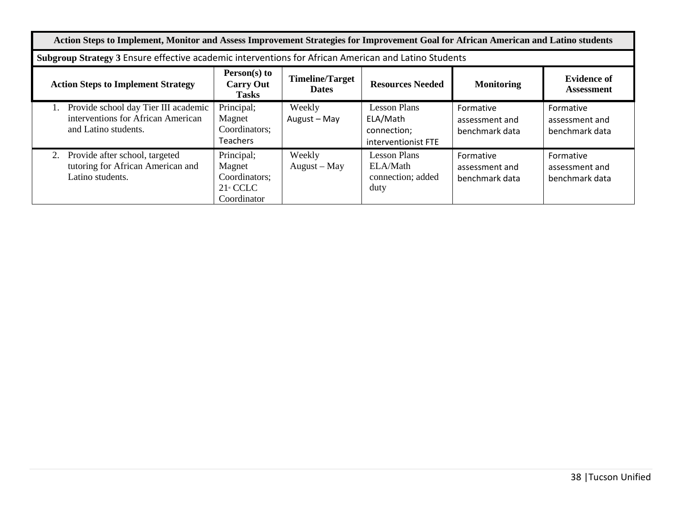| Action Steps to Implement, Monitor and Assess Improvement Strategies for Improvement Goal for African American and Latino students                                                                                                 |                                                                                                      |                          |                                                                |                                               |                                               |  |  |
|------------------------------------------------------------------------------------------------------------------------------------------------------------------------------------------------------------------------------------|------------------------------------------------------------------------------------------------------|--------------------------|----------------------------------------------------------------|-----------------------------------------------|-----------------------------------------------|--|--|
|                                                                                                                                                                                                                                    | Subgroup Strategy 3 Ensure effective academic interventions for African American and Latino Students |                          |                                                                |                                               |                                               |  |  |
| Person(s) to<br><b>Evidence of</b><br><b>Timeline/Target</b><br><b>Action Steps to Implement Strategy</b><br><b>Resources Needed</b><br><b>Monitoring</b><br><b>Carry Out</b><br><b>Dates</b><br><b>Assessment</b><br><b>Tasks</b> |                                                                                                      |                          |                                                                |                                               |                                               |  |  |
| Provide school day Tier III academic<br>interventions for African American<br>and Latino students.                                                                                                                                 | Principal;<br>Magnet<br>Coordinators;<br><b>Teachers</b>                                             | Weekly<br>August - May   | Lesson Plans<br>ELA/Math<br>connection;<br>interventionist FTE | Formative<br>assessment and<br>benchmark data | Formative<br>assessment and<br>benchmark data |  |  |
| Provide after school, targeted<br>2.<br>tutoring for African American and<br>Latino students.                                                                                                                                      | Principal;<br>Magnet<br>Coordinators;<br>$21$ <sup>s</sup> CCLC<br>Coordinator                       | Weekly<br>$August - May$ | Lesson Plans<br>ELA/Math<br>connection; added<br>duty          | Formative<br>assessment and<br>benchmark data | Formative<br>assessment and<br>benchmark data |  |  |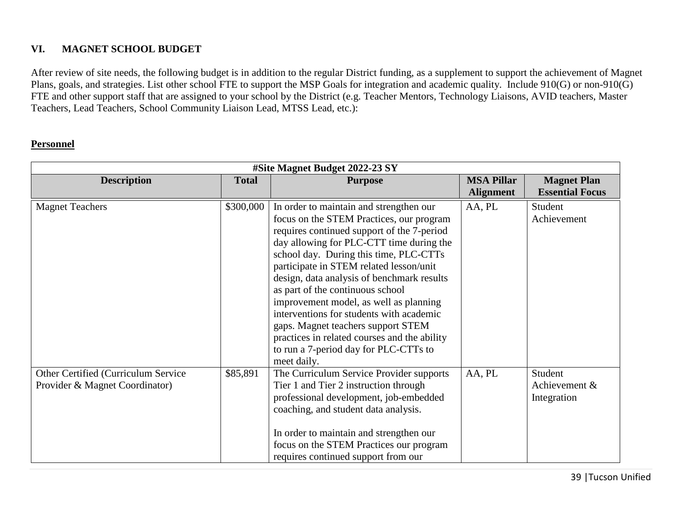## **VI. MAGNET SCHOOL BUDGET**

After review of site needs, the following budget is in addition to the regular District funding, as a supplement to support the achievement of Magnet Plans, goals, and strategies. List other school FTE to support the MSP Goals for integration and academic quality. Include 910(G) or non-910(G) FTE and other support staff that are assigned to your school by the District (e.g. Teacher Mentors, Technology Liaisons, AVID teachers, Master Teachers, Lead Teachers, School Community Liaison Lead, MTSS Lead, etc.):

### **Personnel**

|                                     | #Site Magnet Budget 2022-23 SY |                                              |                   |                        |  |  |
|-------------------------------------|--------------------------------|----------------------------------------------|-------------------|------------------------|--|--|
| <b>Description</b>                  | <b>Total</b><br><b>Purpose</b> |                                              | <b>MSA Pillar</b> | <b>Magnet Plan</b>     |  |  |
|                                     |                                |                                              | <b>Alignment</b>  | <b>Essential Focus</b> |  |  |
| <b>Magnet Teachers</b>              | \$300,000                      | In order to maintain and strengthen our      | AA, PL            | Student                |  |  |
|                                     |                                | focus on the STEM Practices, our program     |                   | Achievement            |  |  |
|                                     |                                | requires continued support of the 7-period   |                   |                        |  |  |
|                                     |                                | day allowing for PLC-CTT time during the     |                   |                        |  |  |
|                                     |                                | school day. During this time, PLC-CTTs       |                   |                        |  |  |
|                                     |                                | participate in STEM related lesson/unit      |                   |                        |  |  |
|                                     |                                | design, data analysis of benchmark results   |                   |                        |  |  |
|                                     |                                | as part of the continuous school             |                   |                        |  |  |
|                                     |                                | improvement model, as well as planning       |                   |                        |  |  |
|                                     |                                | interventions for students with academic     |                   |                        |  |  |
|                                     |                                | gaps. Magnet teachers support STEM           |                   |                        |  |  |
|                                     |                                | practices in related courses and the ability |                   |                        |  |  |
|                                     |                                | to run a 7-period day for PLC-CTTs to        |                   |                        |  |  |
|                                     |                                | meet daily.                                  |                   |                        |  |  |
| Other Certified (Curriculum Service | \$85,891                       | The Curriculum Service Provider supports     | AA, PL            | Student                |  |  |
| Provider & Magnet Coordinator)      |                                | Tier 1 and Tier 2 instruction through        |                   | Achievement &          |  |  |
|                                     |                                | professional development, job-embedded       |                   | Integration            |  |  |
|                                     |                                | coaching, and student data analysis.         |                   |                        |  |  |
|                                     |                                |                                              |                   |                        |  |  |
|                                     |                                | In order to maintain and strengthen our      |                   |                        |  |  |
|                                     |                                | focus on the STEM Practices our program      |                   |                        |  |  |
|                                     |                                | requires continued support from our          |                   |                        |  |  |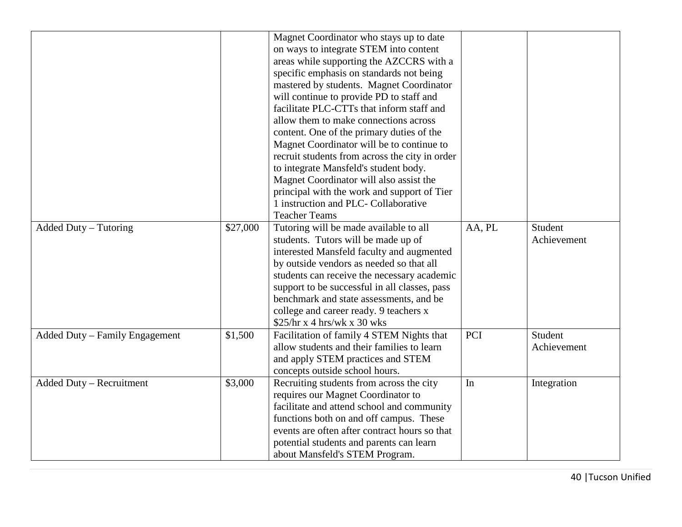|                                |          | Magnet Coordinator who stays up to date<br>on ways to integrate STEM into content<br>areas while supporting the AZCCRS with a<br>specific emphasis on standards not being<br>mastered by students. Magnet Coordinator<br>will continue to provide PD to staff and<br>facilitate PLC-CTTs that inform staff and<br>allow them to make connections across<br>content. One of the primary duties of the<br>Magnet Coordinator will be to continue to<br>recruit students from across the city in order<br>to integrate Mansfeld's student body.<br>Magnet Coordinator will also assist the<br>principal with the work and support of Tier<br>1 instruction and PLC- Collaborative<br><b>Teacher Teams</b> |        |                        |
|--------------------------------|----------|--------------------------------------------------------------------------------------------------------------------------------------------------------------------------------------------------------------------------------------------------------------------------------------------------------------------------------------------------------------------------------------------------------------------------------------------------------------------------------------------------------------------------------------------------------------------------------------------------------------------------------------------------------------------------------------------------------|--------|------------------------|
| Added Duty – Tutoring          | \$27,000 | Tutoring will be made available to all<br>students. Tutors will be made up of<br>interested Mansfeld faculty and augmented<br>by outside vendors as needed so that all<br>students can receive the necessary academic<br>support to be successful in all classes, pass<br>benchmark and state assessments, and be<br>college and career ready. 9 teachers x<br>\$25/hr x 4 hrs/wk x 30 wks                                                                                                                                                                                                                                                                                                             | AA, PL | Student<br>Achievement |
| Added Duty - Family Engagement | \$1,500  | Facilitation of family 4 STEM Nights that<br>allow students and their families to learn<br>and apply STEM practices and STEM<br>concepts outside school hours.                                                                                                                                                                                                                                                                                                                                                                                                                                                                                                                                         | PCI    | Student<br>Achievement |
| Added Duty - Recruitment       | \$3,000  | Recruiting students from across the city<br>requires our Magnet Coordinator to<br>facilitate and attend school and community<br>functions both on and off campus. These<br>events are often after contract hours so that<br>potential students and parents can learn<br>about Mansfeld's STEM Program.                                                                                                                                                                                                                                                                                                                                                                                                 | In     | Integration            |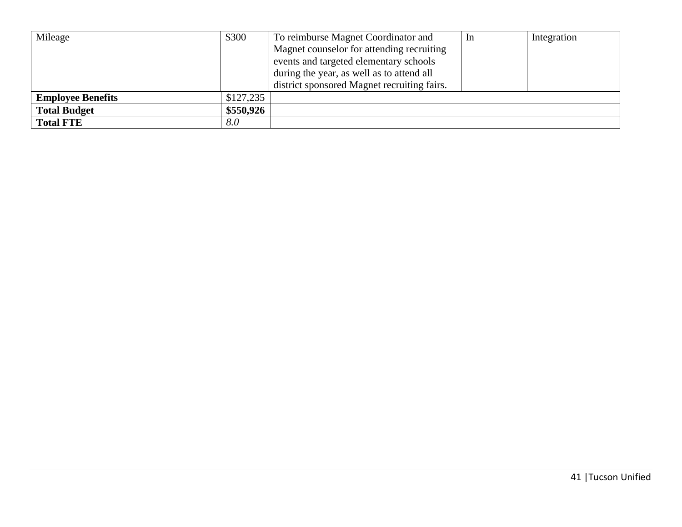| Mileage                  | \$300     | To reimburse Magnet Coordinator and         | <sub>1</sub> n | Integration |
|--------------------------|-----------|---------------------------------------------|----------------|-------------|
|                          |           | Magnet counselor for attending recruiting   |                |             |
|                          |           | events and targeted elementary schools      |                |             |
|                          |           | during the year, as well as to attend all   |                |             |
|                          |           | district sponsored Magnet recruiting fairs. |                |             |
| <b>Employee Benefits</b> | \$127,235 |                                             |                |             |
| <b>Total Budget</b>      | \$550,926 |                                             |                |             |
| <b>Total FTE</b>         | 8.0       |                                             |                |             |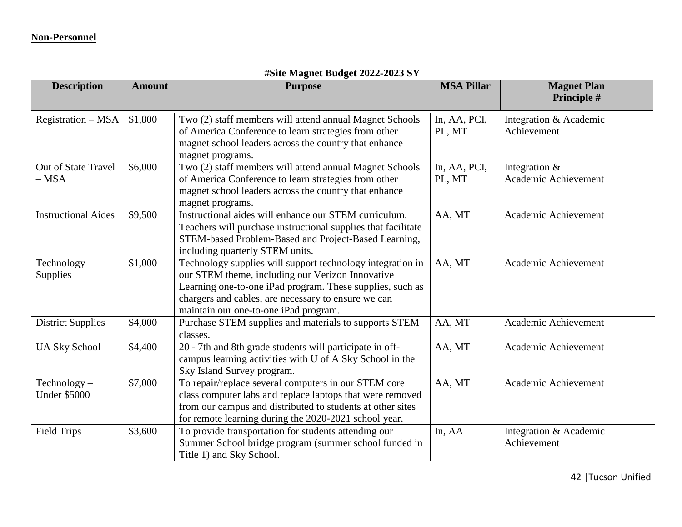| #Site Magnet Budget 2022-2023 SY      |               |                                                                                                                                                                                                                                                                             |                        |                                          |  |
|---------------------------------------|---------------|-----------------------------------------------------------------------------------------------------------------------------------------------------------------------------------------------------------------------------------------------------------------------------|------------------------|------------------------------------------|--|
| <b>Description</b>                    | <b>Amount</b> | <b>Purpose</b>                                                                                                                                                                                                                                                              | <b>MSA Pillar</b>      | <b>Magnet Plan</b><br>Principle #        |  |
| Registration - MSA                    | \$1,800       | Two (2) staff members will attend annual Magnet Schools<br>of America Conference to learn strategies from other<br>magnet school leaders across the country that enhance<br>magnet programs.                                                                                | In, AA, PCI,<br>PL, MT | Integration & Academic<br>Achievement    |  |
| Out of State Travel<br>$-$ MSA        | \$6,000       | Two (2) staff members will attend annual Magnet Schools<br>of America Conference to learn strategies from other<br>magnet school leaders across the country that enhance<br>magnet programs.                                                                                | In, AA, PCI,<br>PL, MT | Integration $\&$<br>Academic Achievement |  |
| <b>Instructional Aides</b>            | \$9,500       | Instructional aides will enhance our STEM curriculum.<br>Teachers will purchase instructional supplies that facilitate<br>STEM-based Problem-Based and Project-Based Learning,<br>including quarterly STEM units.                                                           | AA, MT                 | Academic Achievement                     |  |
| Technology<br>Supplies                | \$1,000       | Technology supplies will support technology integration in<br>our STEM theme, including our Verizon Innovative<br>Learning one-to-one iPad program. These supplies, such as<br>chargers and cables, are necessary to ensure we can<br>maintain our one-to-one iPad program. | AA, MT                 | Academic Achievement                     |  |
| <b>District Supplies</b>              | \$4,000       | Purchase STEM supplies and materials to supports STEM<br>classes.                                                                                                                                                                                                           | AA, MT                 | Academic Achievement                     |  |
| <b>UA Sky School</b>                  | \$4,400       | 20 - 7th and 8th grade students will participate in off-<br>campus learning activities with U of A Sky School in the<br>Sky Island Survey program.                                                                                                                          | AA, MT                 | Academic Achievement                     |  |
| $Technology -$<br><b>Under \$5000</b> | \$7,000       | To repair/replace several computers in our STEM core<br>class computer labs and replace laptops that were removed<br>from our campus and distributed to students at other sites<br>for remote learning during the 2020-2021 school year.                                    | AA, MT                 | Academic Achievement                     |  |
| <b>Field Trips</b>                    | \$3,600       | To provide transportation for students attending our<br>Summer School bridge program (summer school funded in<br>Title 1) and Sky School.                                                                                                                                   | In, AA                 | Integration & Academic<br>Achievement    |  |